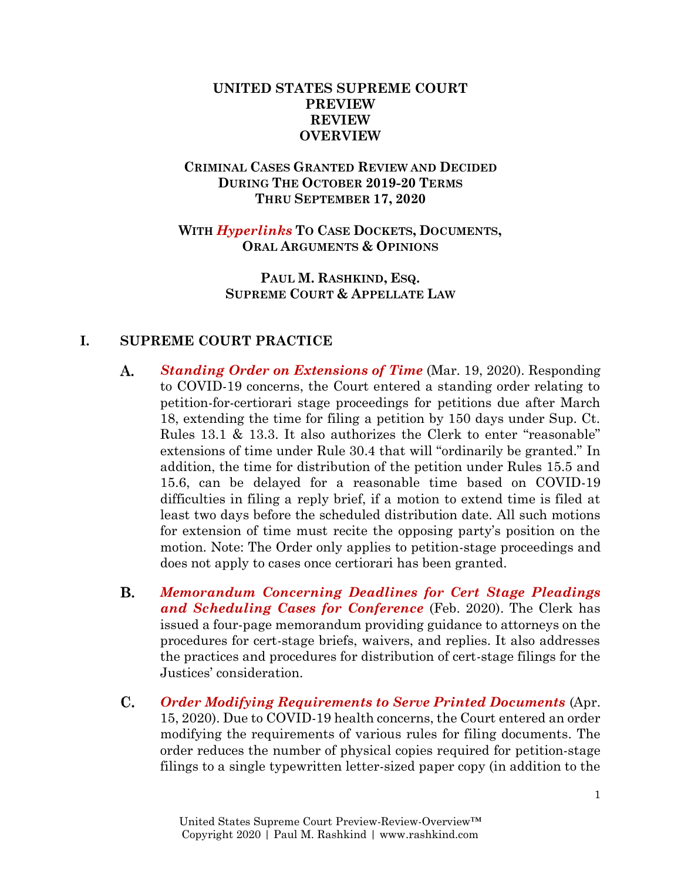# **UNITED STATES SUPREME COURT PREVIEW REVIEW OVERVIEW**

# **CRIMINAL CASES GRANTED REVIEW AND DECIDED DURING THE OCTOBER 2019-20 TERMS THRU SEPTEMBER 17, 2020**

# **WITH** *Hyperlinks* **TO CASE DOCKETS, DOCUMENTS, ORAL ARGUMENTS & OPINIONS**

# **PAUL M. RASHKIND, ESQ. SUPREME COURT & APPELLATE LAW**

# **I. SUPREME COURT PRACTICE**

- A. *[Standing Order on Extensions of Time](https://www.supremecourt.gov/orders/courtorders/031920zr_d1o3.pdf)* (Mar. 19, 2020). Responding to COVID-19 concerns, the Court entered a standing order relating to petition-for-certiorari stage proceedings for petitions due after March 18, extending the time for filing a petition by 150 days under Sup. Ct. Rules 13.1 & 13.3. It also authorizes the Clerk to enter "reasonable" extensions of time under Rule 30.4 that will "ordinarily be granted." In addition, the time for distribution of the petition under Rules 15.5 and 15.6, can be delayed for a reasonable time based on COVID-19 difficulties in filing a reply brief, if a motion to extend time is filed at least two days before the scheduled distribution date. All such motions for extension of time must recite the opposing party's position on the motion. Note: The Order only applies to petition-stage proceedings and does not apply to cases once certiorari has been granted.
- В. *[Memorandum Concerning Deadlines for Cert Stage Pleadings](https://www.supremecourt.gov/casehand/Guidance-on-Scheduling-Feb-2020.pdf)  [and Scheduling Cases for Conference](https://www.supremecourt.gov/casehand/Guidance-on-Scheduling-Feb-2020.pdf)* (Feb. 2020). The Clerk has issued a four-page memorandum providing guidance to attorneys on the procedures for cert-stage briefs, waivers, and replies. It also addresses the practices and procedures for distribution of cert-stage filings for the Justices' consideration.
- $\mathbf{C}$ . *[Order Modifying Requirements to Serve Printed Documents](https://www.supremecourt.gov/orders/courtorders/041520zr_g204.pdf)* (Apr. 15, 2020). Due to COVID-19 health concerns, the Court entered an order modifying the requirements of various rules for filing documents. The order reduces the number of physical copies required for petition-stage filings to a single typewritten letter-sized paper copy (in addition to the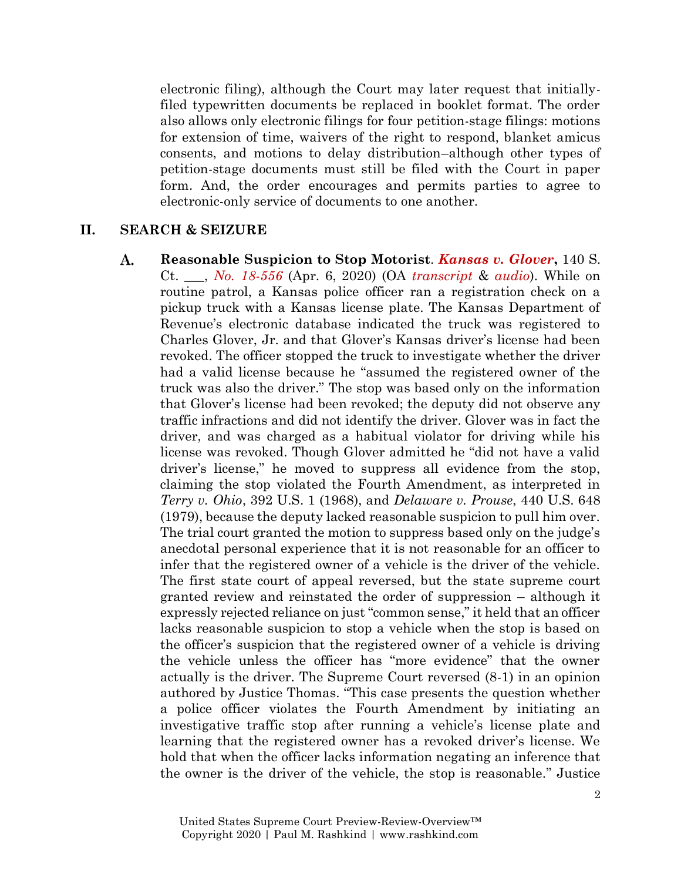electronic filing), although the Court may later request that initiallyfiled typewritten documents be replaced in booklet format. The order also allows only electronic filings for four petition-stage filings: motions for extension of time, waivers of the right to respond, blanket amicus consents, and motions to delay distribution–although other types of petition-stage documents must still be filed with the Court in paper form. And, the order encourages and permits parties to agree to electronic-only service of documents to one another.

#### **II. SEARCH & SEIZURE**

A. **Reasonable Suspicion to Stop Motorist**. *[Kansas v. Glover](https://www.supremecourt.gov/opinions/19pdf/18-556_e1pf.pdf)***,** 140 S. Ct. \_\_\_, *No. [18-556](https://www.supremecourt.gov/search.aspx?filename=/docket/docketfiles/html/public/18-556.html)* (Apr. 6, 2020) (OA *[transcript](https://www.supremecourt.gov/oral_arguments/argument_transcripts/2019/18-556_bqmd.pdf)* & *[audio](https://www.supremecourt.gov/oral_arguments/audio/2019/18-556)*). While on routine patrol, a Kansas police officer ran a registration check on a pickup truck with a Kansas license plate. The Kansas Department of Revenue's electronic database indicated the truck was registered to Charles Glover, Jr. and that Glover's Kansas driver's license had been revoked. The officer stopped the truck to investigate whether the driver had a valid license because he "assumed the registered owner of the truck was also the driver." The stop was based only on the information that Glover's license had been revoked; the deputy did not observe any traffic infractions and did not identify the driver. Glover was in fact the driver, and was charged as a habitual violator for driving while his license was revoked. Though Glover admitted he "did not have a valid driver's license," he moved to suppress all evidence from the stop, claiming the stop violated the Fourth Amendment, as interpreted in *Terry v. Ohio*, 392 U.S. 1 (1968), and *Delaware v. Prouse*, 440 U.S. 648 (1979), because the deputy lacked reasonable suspicion to pull him over. The trial court granted the motion to suppress based only on the judge's anecdotal personal experience that it is not reasonable for an officer to infer that the registered owner of a vehicle is the driver of the vehicle. The first state court of appeal reversed, but the state supreme court granted review and reinstated the order of suppression – although it expressly rejected reliance on just "common sense," it held that an officer lacks reasonable suspicion to stop a vehicle when the stop is based on the officer's suspicion that the registered owner of a vehicle is driving the vehicle unless the officer has "more evidence" that the owner actually is the driver. The Supreme Court reversed (8-1) in an opinion authored by Justice Thomas. "This case presents the question whether a police officer violates the Fourth Amendment by initiating an investigative traffic stop after running a vehicle's license plate and learning that the registered owner has a revoked driver's license. We hold that when the officer lacks information negating an inference that the owner is the driver of the vehicle, the stop is reasonable." Justice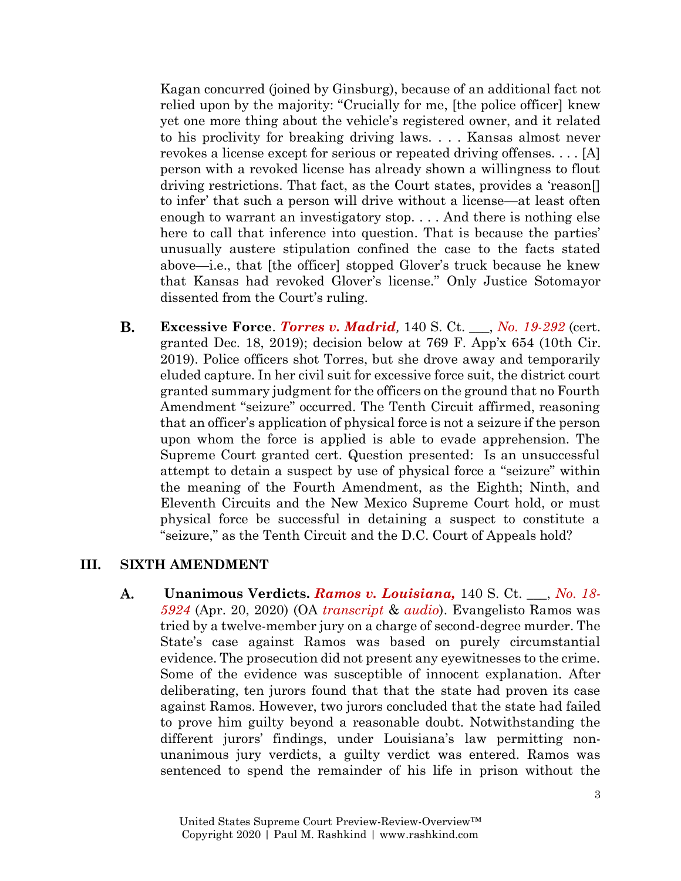Kagan concurred (joined by Ginsburg), because of an additional fact not relied upon by the majority: "Crucially for me, [the police officer] knew yet one more thing about the vehicle's registered owner, and it related to his proclivity for breaking driving laws. . . . Kansas almost never revokes a license except for serious or repeated driving offenses. . . . [A] person with a revoked license has already shown a willingness to flout driving restrictions. That fact, as the Court states, provides a 'reason[] to infer' that such a person will drive without a license—at least often enough to warrant an investigatory stop. . . . And there is nothing else here to call that inference into question. That is because the parties' unusually austere stipulation confined the case to the facts stated above—i.e., that [the officer] stopped Glover's truck because he knew that Kansas had revoked Glover's license." Only Justice Sotomayor dissented from the Court's ruling.

В. **Excessive Force**. *[Torres v. Madrid](https://www.supremecourt.gov/search.aspx?filename=/docket/docketfiles/html/public/19-292.html),* 140 S. Ct. \_\_\_, *[No. 19-292](https://www.supremecourt.gov/search.aspx?filename=/docket/docketfiles/html/public/19-292.html)* (cert. granted Dec. 18, 2019); decision below at 769 F. App'x 654 (10th Cir. 2019). Police officers shot Torres, but she drove away and temporarily eluded capture. In her civil suit for excessive force suit, the district court granted summary judgment for the officers on the ground that no Fourth Amendment "seizure" occurred. The Tenth Circuit affirmed, reasoning that an officer's application of physical force is not a seizure if the person upon whom the force is applied is able to evade apprehension. The Supreme Court granted cert. Question presented: Is an unsuccessful attempt to detain a suspect by use of physical force a "seizure" within the meaning of the Fourth Amendment, as the Eighth; Ninth, and Eleventh Circuits and the New Mexico Supreme Court hold, or must physical force be successful in detaining a suspect to constitute a "seizure," as the Tenth Circuit and the D.C. Court of Appeals hold?

### **III. SIXTH AMENDMENT**

**A. Unanimous Verdicts.** *[Ramos v. Louisiana,](https://www.supremecourt.gov/opinions/19pdf/18-5924_n6io.pdf)* 140 S. Ct. \_\_\_, *[No. 18-](https://www.supremecourt.gov/search.aspx?filename=/docket/docketfiles/html/public/18-5924.html) [5924](https://www.supremecourt.gov/search.aspx?filename=/docket/docketfiles/html/public/18-5924.html)* (Apr. 20, 2020) (OA *[transcript](https://www.supremecourt.gov/oral_arguments/argument_transcripts/2019/18-5924_4g25.pdf)* & *[audio](https://www.supremecourt.gov/oral_arguments/audio/2019/18-5924)*). Evangelisto Ramos was tried by a twelve-member jury on a charge of second-degree murder. The State's case against Ramos was based on purely circumstantial evidence. The prosecution did not present any eyewitnesses to the crime. Some of the evidence was susceptible of innocent explanation. After deliberating, ten jurors found that that the state had proven its case against Ramos. However, two jurors concluded that the state had failed to prove him guilty beyond a reasonable doubt. Notwithstanding the different jurors' findings, under Louisiana's law permitting nonunanimous jury verdicts, a guilty verdict was entered. Ramos was sentenced to spend the remainder of his life in prison without the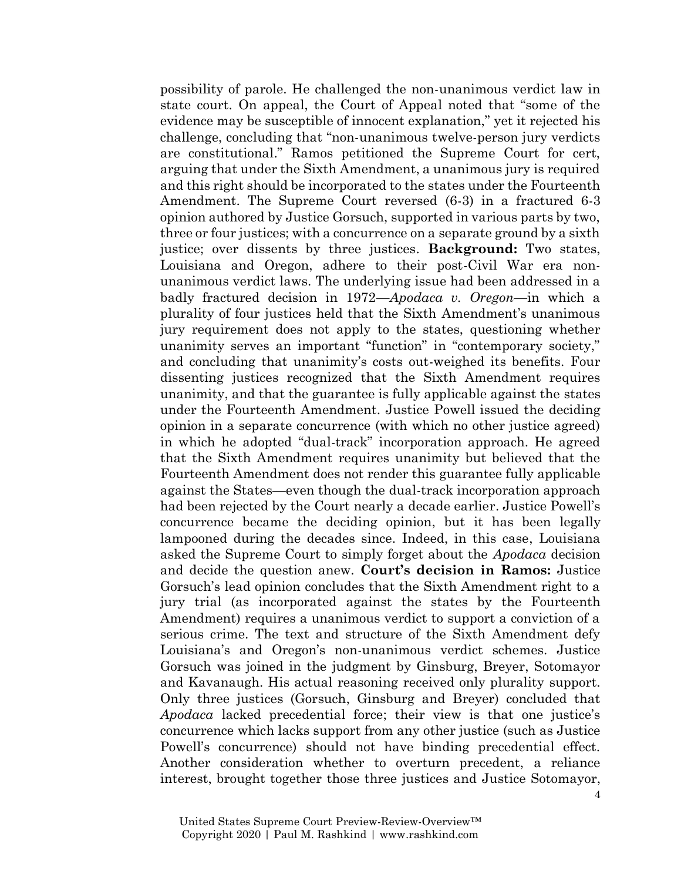possibility of parole. He challenged the non-unanimous verdict law in state court. On appeal, the Court of Appeal noted that "some of the evidence may be susceptible of innocent explanation," yet it rejected his challenge, concluding that "non-unanimous twelve-person jury verdicts are constitutional." Ramos petitioned the Supreme Court for cert, arguing that under the Sixth Amendment, a unanimous jury is required and this right should be incorporated to the states under the Fourteenth Amendment. The Supreme Court reversed (6-3) in a fractured 6-3 opinion authored by Justice Gorsuch, supported in various parts by two, three or four justices; with a concurrence on a separate ground by a sixth justice; over dissents by three justices. **Background:** Two states, Louisiana and Oregon, adhere to their post-Civil War era nonunanimous verdict laws. The underlying issue had been addressed in a badly fractured decision in 1972—*Apodaca v. Oregon—*in which a plurality of four justices held that the Sixth Amendment's unanimous jury requirement does not apply to the states, questioning whether unanimity serves an important "function" in "contemporary society," and concluding that unanimity's costs out-weighed its benefits. Four dissenting justices recognized that the Sixth Amendment requires unanimity, and that the guarantee is fully applicable against the states under the Fourteenth Amendment. Justice Powell issued the deciding opinion in a separate concurrence (with which no other justice agreed) in which he adopted "dual-track" incorporation approach. He agreed that the Sixth Amendment requires unanimity but believed that the Fourteenth Amendment does not render this guarantee fully applicable against the States—even though the dual-track incorporation approach had been rejected by the Court nearly a decade earlier. Justice Powell's concurrence became the deciding opinion, but it has been legally lampooned during the decades since. Indeed, in this case, Louisiana asked the Supreme Court to simply forget about the *Apodaca* decision and decide the question anew. **Court's decision in Ramos:** Justice Gorsuch's lead opinion concludes that the Sixth Amendment right to a jury trial (as incorporated against the states by the Fourteenth Amendment) requires a unanimous verdict to support a conviction of a serious crime. The text and structure of the Sixth Amendment defy Louisiana's and Oregon's non-unanimous verdict schemes. Justice Gorsuch was joined in the judgment by Ginsburg, Breyer, Sotomayor and Kavanaugh. His actual reasoning received only plurality support. Only three justices (Gorsuch, Ginsburg and Breyer) concluded that *Apodaca* lacked precedential force; their view is that one justice's concurrence which lacks support from any other justice (such as Justice Powell's concurrence) should not have binding precedential effect. Another consideration whether to overturn precedent, a reliance interest, brought together those three justices and Justice Sotomayor,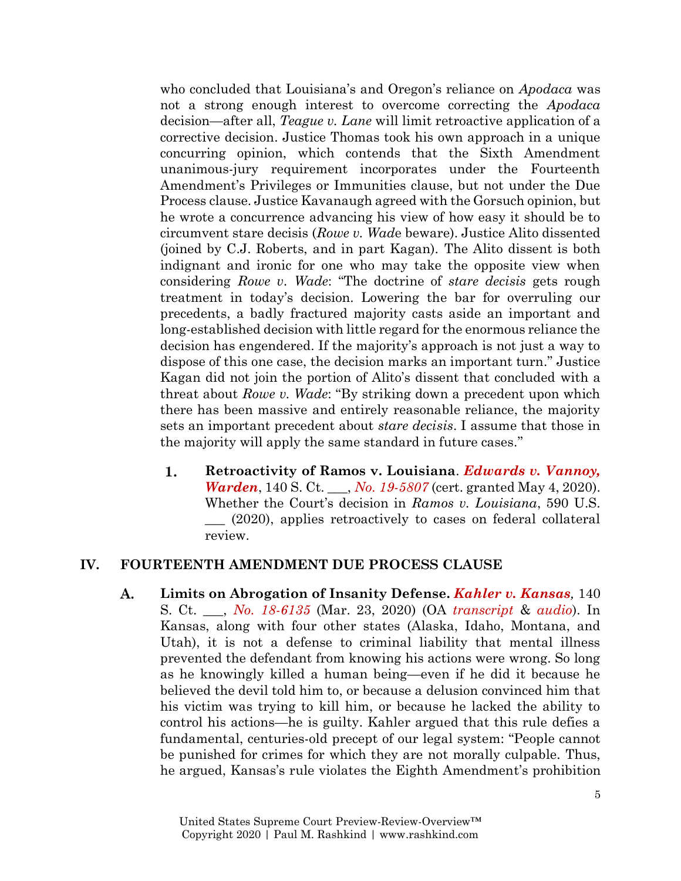who concluded that Louisiana's and Oregon's reliance on *Apodaca* was not a strong enough interest to overcome correcting the *Apodaca* decision—after all, *Teague v. Lane* will limit retroactive application of a corrective decision. Justice Thomas took his own approach in a unique concurring opinion, which contends that the Sixth Amendment unanimous-jury requirement incorporates under the Fourteenth Amendment's Privileges or Immunities clause, but not under the Due Process clause. Justice Kavanaugh agreed with the Gorsuch opinion, but he wrote a concurrence advancing his view of how easy it should be to circumvent stare decisis (*Rowe v. Wad*e beware). Justice Alito dissented (joined by C.J. Roberts, and in part Kagan). The Alito dissent is both indignant and ironic for one who may take the opposite view when considering *Rowe v. Wade*: "The doctrine of *stare decisis* gets rough treatment in today's decision. Lowering the bar for overruling our precedents, a badly fractured majority casts aside an important and long-established decision with little regard for the enormous reliance the decision has engendered. If the majority's approach is not just a way to dispose of this one case, the decision marks an important turn." Justice Kagan did not join the portion of Alito's dissent that concluded with a threat about *Rowe v. Wade*: "By striking down a precedent upon which there has been massive and entirely reasonable reliance, the majority sets an important precedent about *stare decisis*. I assume that those in the majority will apply the same standard in future cases."

1. **Retroactivity of Ramos v. Louisiana**. *[Edwards v. Vannoy,](https://www.supremecourt.gov/search.aspx?filename=/docket/docketfiles/html/public/19-5807.html)  [Warden](https://www.supremecourt.gov/search.aspx?filename=/docket/docketfiles/html/public/19-5807.html)*, 140 S. Ct. \_\_\_, *[No. 19-5807](https://www.supremecourt.gov/search.aspx?filename=/docket/docketfiles/html/public/19-5807.html)* (cert. granted May 4, 2020). Whether the Court's decision in *Ramos v. Louisiana*, 590 U.S. \_\_\_ (2020), applies retroactively to cases on federal collateral review.

### **IV. FOURTEENTH AMENDMENT DUE PROCESS CLAUSE**

A. **Limits on Abrogation of Insanity Defense.** *[Kahler v. Kansas](https://www.supremecourt.gov/opinions/19pdf/18-6135_j4ek.pdf),* 140 S. Ct. \_\_\_, *[No. 18-6135](https://www.supremecourt.gov/search.aspx?filename=/docket/docketfiles/html/public/18-6135.html)* (Mar. 23, 2020) (OA *[transcript](https://www.supremecourt.gov/oral_arguments/argument_transcripts/2019/18-6135_nlio.pdf)* & *[audio](https://www.supremecourt.gov/oral_arguments/audio/2019/18-6135)*). In Kansas, along with four other states (Alaska, Idaho, Montana, and Utah), it is not a defense to criminal liability that mental illness prevented the defendant from knowing his actions were wrong. So long as he knowingly killed a human being—even if he did it because he believed the devil told him to, or because a delusion convinced him that his victim was trying to kill him, or because he lacked the ability to control his actions—he is guilty. Kahler argued that this rule defies a fundamental, centuries-old precept of our legal system: "People cannot be punished for crimes for which they are not morally culpable. Thus, he argued, Kansas's rule violates the Eighth Amendment's prohibition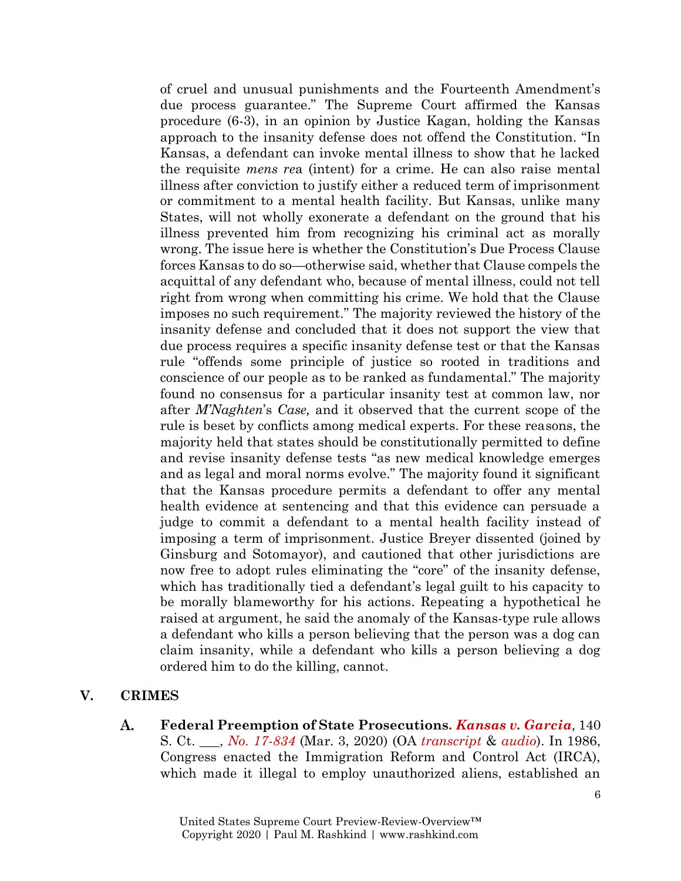of cruel and unusual punishments and the Fourteenth Amendment's due process guarantee." The Supreme Court affirmed the Kansas procedure (6-3), in an opinion by Justice Kagan, holding the Kansas approach to the insanity defense does not offend the Constitution. "In Kansas, a defendant can invoke mental illness to show that he lacked the requisite *mens re*a (intent) for a crime. He can also raise mental illness after conviction to justify either a reduced term of imprisonment or commitment to a mental health facility. But Kansas, unlike many States, will not wholly exonerate a defendant on the ground that his illness prevented him from recognizing his criminal act as morally wrong. The issue here is whether the Constitution's Due Process Clause forces Kansas to do so—otherwise said, whether that Clause compels the acquittal of any defendant who, because of mental illness, could not tell right from wrong when committing his crime. We hold that the Clause imposes no such requirement." The majority reviewed the history of the insanity defense and concluded that it does not support the view that due process requires a specific insanity defense test or that the Kansas rule "offends some principle of justice so rooted in traditions and conscience of our people as to be ranked as fundamental." The majority found no consensus for a particular insanity test at common law, nor after *M'Naghten*'s *Case,* and it observed that the current scope of the rule is beset by conflicts among medical experts. For these reasons, the majority held that states should be constitutionally permitted to define and revise insanity defense tests "as new medical knowledge emerges and as legal and moral norms evolve." The majority found it significant that the Kansas procedure permits a defendant to offer any mental health evidence at sentencing and that this evidence can persuade a judge to commit a defendant to a mental health facility instead of imposing a term of imprisonment. Justice Breyer dissented (joined by Ginsburg and Sotomayor), and cautioned that other jurisdictions are now free to adopt rules eliminating the "core" of the insanity defense, which has traditionally tied a defendant's legal guilt to his capacity to be morally blameworthy for his actions. Repeating a hypothetical he raised at argument, he said the anomaly of the Kansas-type rule allows a defendant who kills a person believing that the person was a dog can claim insanity, while a defendant who kills a person believing a dog ordered him to do the killing, cannot.

# **V. CRIMES**

A. **Federal Preemption of State Prosecutions***. [Kansas v. Garcia](https://www.supremecourt.gov/opinions/19pdf/17-834_k53l.pdf),* 140 S. Ct. \_\_\_, *[No. 17-834](https://www.supremecourt.gov/search.aspx?filename=/docket/docketfiles/html/public/17-834.html)* (Mar. 3, 2020) (OA *[transcript](https://www.supremecourt.gov/oral_arguments/argument_transcripts/2019/17-834_jifl.pdf)* & *[audio](https://www.supremecourt.gov/oral_arguments/audio/2019/17-834)*). In 1986, Congress enacted the Immigration Reform and Control Act (IRCA), which made it illegal to employ unauthorized aliens, established an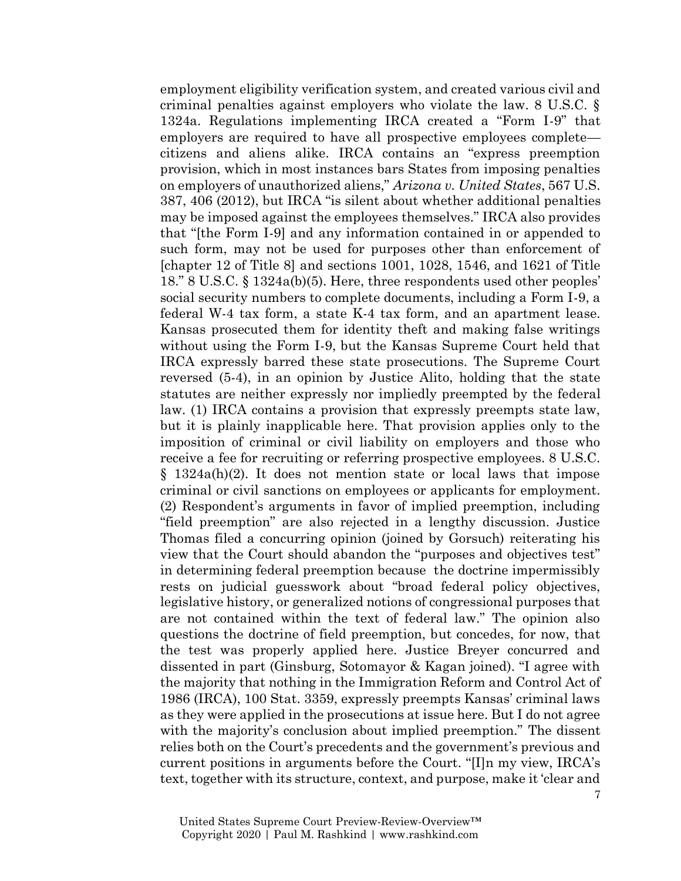employment eligibility verification system, and created various civil and criminal penalties against employers who violate the law. 8 U.S.C. § 1324a. Regulations implementing IRCA created a "Form I-9" that employers are required to have all prospective employees complete citizens and aliens alike. IRCA contains an "express preemption provision, which in most instances bars States from imposing penalties on employers of unauthorized aliens," *Arizona v. United States*, 567 U.S. 387, 406 (2012), but IRCA "is silent about whether additional penalties may be imposed against the employees themselves." IRCA also provides that "[the Form I-9] and any information contained in or appended to such form, may not be used for purposes other than enforcement of  $[Chapter 12 of Title 8]$  and sections 1001, 1028, 1546, and 1621 of Title 18." 8 U.S.C. § 1324a(b)(5). Here, three respondents used other peoples' social security numbers to complete documents, including a Form I-9, a federal W-4 tax form, a state K-4 tax form, and an apartment lease. Kansas prosecuted them for identity theft and making false writings without using the Form I-9, but the Kansas Supreme Court held that IRCA expressly barred these state prosecutions. The Supreme Court reversed (5-4), in an opinion by Justice Alito, holding that the state statutes are neither expressly nor impliedly preempted by the federal law. (1) IRCA contains a provision that expressly preempts state law, but it is plainly inapplicable here. That provision applies only to the imposition of criminal or civil liability on employers and those who receive a fee for recruiting or referring prospective employees. 8 U.S.C. § 1324a(h)(2). It does not mention state or local laws that impose criminal or civil sanctions on employees or applicants for employment. (2) Respondent's arguments in favor of implied preemption, including "field preemption" are also rejected in a lengthy discussion. Justice Thomas filed a concurring opinion (joined by Gorsuch) reiterating his view that the Court should abandon the "purposes and objectives test" in determining federal preemption because the doctrine impermissibly rests on judicial guesswork about "broad federal policy objectives, legislative history, or generalized notions of congressional purposes that are not contained within the text of federal law." The opinion also questions the doctrine of field preemption, but concedes, for now, that the test was properly applied here. Justice Breyer concurred and dissented in part (Ginsburg, Sotomayor & Kagan joined). "I agree with the majority that nothing in the Immigration Reform and Control Act of 1986 (IRCA), 100 Stat. 3359, expressly preempts Kansas' criminal laws as they were applied in the prosecutions at issue here. But I do not agree with the majority's conclusion about implied preemption." The dissent relies both on the Court's precedents and the government's previous and current positions in arguments before the Court. "[I]n my view, IRCA's text, together with its structure, context, and purpose, make it 'clear and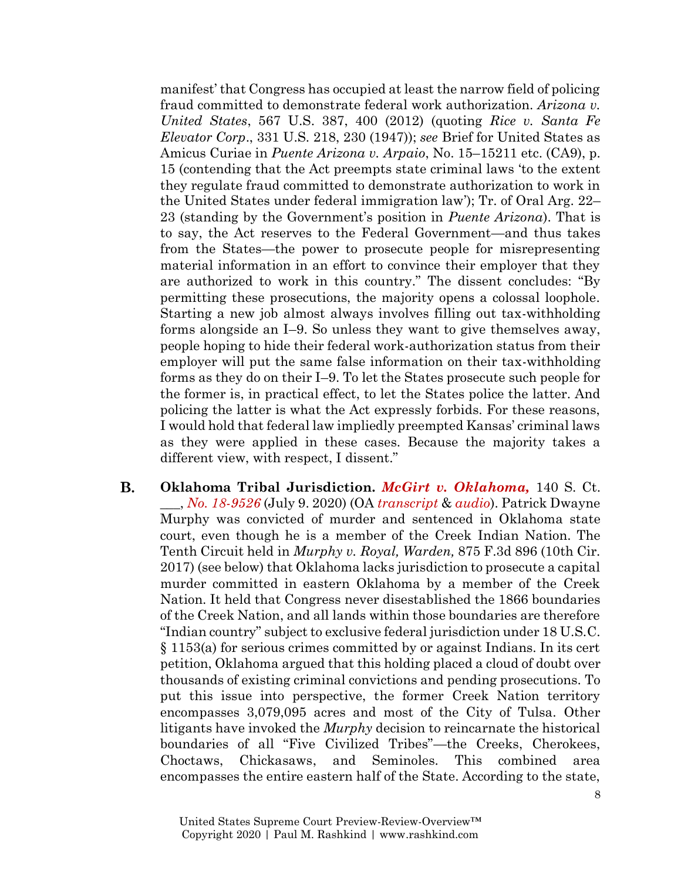manifest' that Congress has occupied at least the narrow field of policing fraud committed to demonstrate federal work authorization. *Arizona v. United States*, 567 U.S. 387, 400 (2012) (quoting *Rice v. Santa Fe Elevator Corp*., 331 U.S. 218, 230 (1947)); *see* Brief for United States as Amicus Curiae in *Puente Arizona v. Arpaio*, No. 15–15211 etc. (CA9), p. 15 (contending that the Act preempts state criminal laws 'to the extent they regulate fraud committed to demonstrate authorization to work in the United States under federal immigration law'); Tr. of Oral Arg. 22– 23 (standing by the Government's position in *Puente Arizona*). That is to say, the Act reserves to the Federal Government—and thus takes from the States—the power to prosecute people for misrepresenting material information in an effort to convince their employer that they are authorized to work in this country." The dissent concludes: "By permitting these prosecutions, the majority opens a colossal loophole. Starting a new job almost always involves filling out tax-withholding forms alongside an I–9. So unless they want to give themselves away, people hoping to hide their federal work-authorization status from their employer will put the same false information on their tax-withholding forms as they do on their I–9. To let the States prosecute such people for the former is, in practical effect, to let the States police the latter. And policing the latter is what the Act expressly forbids. For these reasons, I would hold that federal law impliedly preempted Kansas' criminal laws as they were applied in these cases. Because the majority takes a different view, with respect, I dissent."

В. **Oklahoma Tribal Jurisdiction.** *[McGirt v. Oklahoma,](https://www.supremecourt.gov/opinions/19pdf/18-9526_9okb.pdf)* 140 S. Ct. \_\_\_, *[No. 18-9526](https://www.supremecourt.gov/search.aspx?filename=/docket/docketfiles/html/public/18-9526.html)* (July 9. 2020) (OA *[transcript](https://www.supremecourt.gov/oral_arguments/argument_transcripts/2019/18-9526_n758.pdf)* & *[audio](https://www.supremecourt.gov/oral_arguments/audio/2019/18-9526)*). Patrick Dwayne Murphy was convicted of murder and sentenced in Oklahoma state court, even though he is a member of the Creek Indian Nation. The Tenth Circuit held in *Murphy v. Royal, Warden,* 875 F.3d 896 (10th Cir. 2017) (see below) that Oklahoma lacks jurisdiction to prosecute a capital murder committed in eastern Oklahoma by a member of the Creek Nation. It held that Congress never disestablished the 1866 boundaries of the Creek Nation, and all lands within those boundaries are therefore "Indian country" subject to exclusive federal jurisdiction under 18 U.S.C. § 1153(a) for serious crimes committed by or against Indians. In its cert petition, Oklahoma argued that this holding placed a cloud of doubt over thousands of existing criminal convictions and pending prosecutions. To put this issue into perspective, the former Creek Nation territory encompasses 3,079,095 acres and most of the City of Tulsa. Other litigants have invoked the *Murphy* decision to reincarnate the historical boundaries of all "Five Civilized Tribes"—the Creeks, Cherokees, Choctaws, Chickasaws, and Seminoles. This combined area encompasses the entire eastern half of the State. According to the state,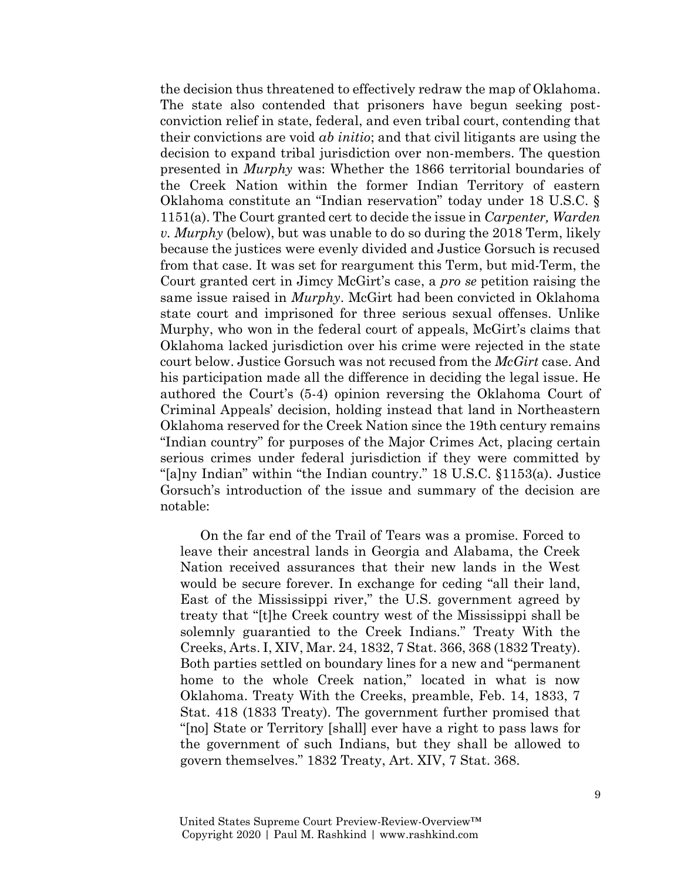the decision thus threatened to effectively redraw the map of Oklahoma. The state also contended that prisoners have begun seeking postconviction relief in state, federal, and even tribal court, contending that their convictions are void *ab initio*; and that civil litigants are using the decision to expand tribal jurisdiction over non-members. The question presented in *Murphy* was: Whether the 1866 territorial boundaries of the Creek Nation within the former Indian Territory of eastern Oklahoma constitute an "Indian reservation" today under 18 U.S.C. § 1151(a). The Court granted cert to decide the issue in *Carpenter, Warden v. Murphy* (below), but was unable to do so during the 2018 Term, likely because the justices were evenly divided and Justice Gorsuch is recused from that case. It was set for reargument this Term, but mid-Term, the Court granted cert in Jimcy McGirt's case, a *pro se* petition raising the same issue raised in *Murphy*. McGirt had been convicted in Oklahoma state court and imprisoned for three serious sexual offenses. Unlike Murphy, who won in the federal court of appeals, McGirt's claims that Oklahoma lacked jurisdiction over his crime were rejected in the state court below. Justice Gorsuch was not recused from the *McGirt* case. And his participation made all the difference in deciding the legal issue. He authored the Court's (5-4) opinion reversing the Oklahoma Court of Criminal Appeals' decision, holding instead that land in Northeastern Oklahoma reserved for the Creek Nation since the 19th century remains "Indian country" for purposes of the Major Crimes Act, placing certain serious crimes under federal jurisdiction if they were committed by "[a]ny Indian" within "the Indian country." 18 U.S.C. §1153(a). Justice Gorsuch's introduction of the issue and summary of the decision are notable:

On the far end of the Trail of Tears was a promise. Forced to leave their ancestral lands in Georgia and Alabama, the Creek Nation received assurances that their new lands in the West would be secure forever. In exchange for ceding "all their land, East of the Mississippi river," the U.S. government agreed by treaty that "[t]he Creek country west of the Mississippi shall be solemnly guarantied to the Creek Indians." Treaty With the Creeks, Arts. I, XIV, Mar. 24, 1832, 7 Stat. 366, 368 (1832 Treaty). Both parties settled on boundary lines for a new and "permanent home to the whole Creek nation," located in what is now Oklahoma. Treaty With the Creeks, preamble, Feb. 14, 1833, 7 Stat. 418 (1833 Treaty). The government further promised that "[no] State or Territory [shall] ever have a right to pass laws for the government of such Indians, but they shall be allowed to govern themselves." 1832 Treaty, Art. XIV, 7 Stat. 368.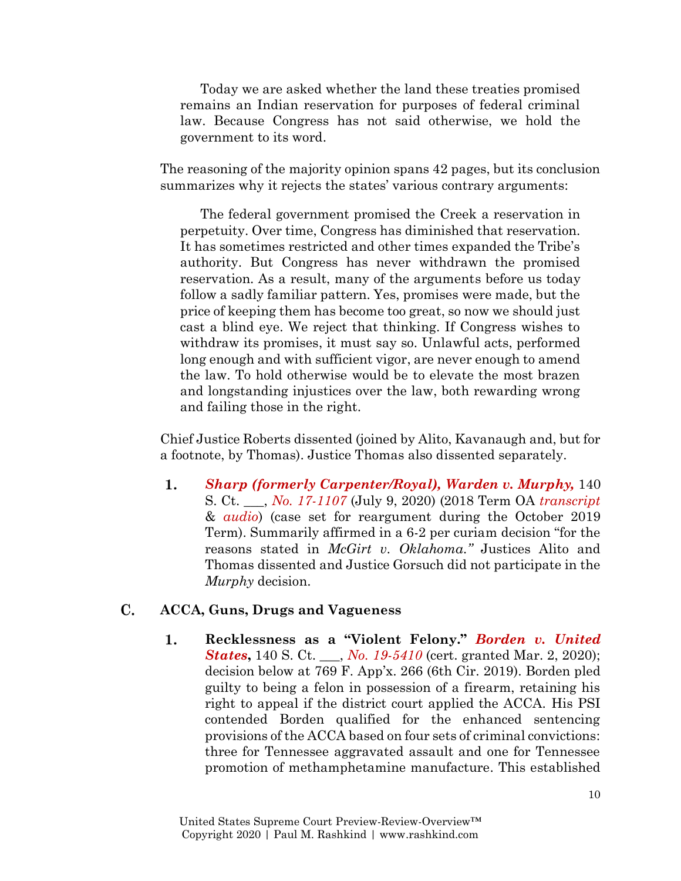Today we are asked whether the land these treaties promised remains an Indian reservation for purposes of federal criminal law. Because Congress has not said otherwise, we hold the government to its word.

The reasoning of the majority opinion spans 42 pages, but its conclusion summarizes why it rejects the states' various contrary arguments:

The federal government promised the Creek a reservation in perpetuity. Over time, Congress has diminished that reservation. It has sometimes restricted and other times expanded the Tribe's authority. But Congress has never withdrawn the promised reservation. As a result, many of the arguments before us today follow a sadly familiar pattern. Yes, promises were made, but the price of keeping them has become too great, so now we should just cast a blind eye. We reject that thinking. If Congress wishes to withdraw its promises, it must say so. Unlawful acts, performed long enough and with sufficient vigor, are never enough to amend the law. To hold otherwise would be to elevate the most brazen and longstanding injustices over the law, both rewarding wrong and failing those in the right.

Chief Justice Roberts dissented (joined by Alito, Kavanaugh and, but for a footnote, by Thomas). Justice Thomas also dissented separately.

1. *[Sharp \(formerly Carpenter/Royal\), Warden v. Murphy,](https://www.supremecourt.gov/opinions/19pdf/17-1107_o759.pdf)* 140 S. Ct. \_\_\_, *[No. 17-1107](https://www.supremecourt.gov/search.aspx?filename=/docket/docketfiles/html/public/17-1107.html)* (July 9, 2020) (2018 Term OA *[transcript](https://www.supremecourt.gov/oral_arguments/argument_transcripts/2018/17-1107_q86b.pdf)* & *[audio](https://www.supremecourt.gov/oral_arguments/audio/2018/17-1107)*) (case set for reargument during the October 2019 Term). Summarily affirmed in a 6-2 per curiam decision "for the reasons stated in *McGirt v. Oklahoma."* Justices Alito and Thomas dissented and Justice Gorsuch did not participate in the *Murphy* decision.

#### C. **ACCA, Guns, Drugs and Vagueness**

1. **Recklessness as a "Violent Felony."** *[Borden v. United](https://www.supremecourt.gov/search.aspx?filename=/docket/docketfiles/html/public/19-5410.html)  [States](https://www.supremecourt.gov/search.aspx?filename=/docket/docketfiles/html/public/19-5410.html)***,** 140 S. Ct. \_\_\_, *[No. 19-5410](https://www.supremecourt.gov/search.aspx?filename=/docket/docketfiles/html/public/19-5410.html)* (cert. granted Mar. 2, 2020); decision below at 769 F. App'x. 266 (6th Cir. 2019). Borden pled guilty to being a felon in possession of a firearm, retaining his right to appeal if the district court applied the ACCA. His PSI contended Borden qualified for the enhanced sentencing provisions of the ACCA based on four sets of criminal convictions: three for Tennessee aggravated assault and one for Tennessee promotion of methamphetamine manufacture. This established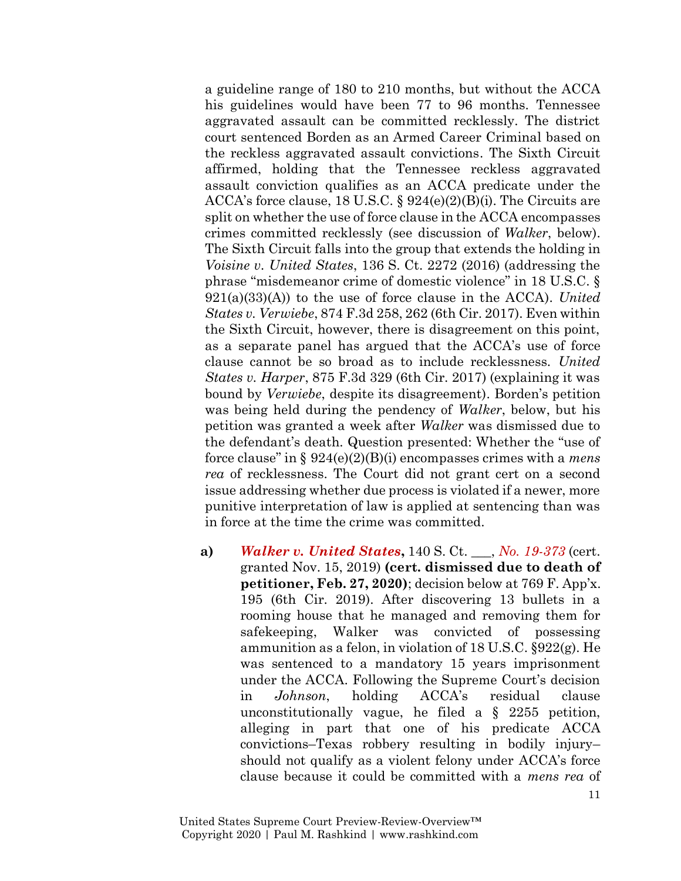a guideline range of 180 to 210 months, but without the ACCA his guidelines would have been 77 to 96 months. Tennessee aggravated assault can be committed recklessly. The district court sentenced Borden as an Armed Career Criminal based on the reckless aggravated assault convictions. The Sixth Circuit affirmed, holding that the Tennessee reckless aggravated assault conviction qualifies as an ACCA predicate under the ACCA's force clause, 18 U.S.C. § 924(e)(2)(B)(i). The Circuits are split on whether the use of force clause in the ACCA encompasses crimes committed recklessly (see discussion of *Walker*, below). The Sixth Circuit falls into the group that extends the holding in *Voisine v. United States*, 136 S. Ct. 2272 (2016) (addressing the phrase "misdemeanor crime of domestic violence" in 18 U.S.C. § 921(a)(33)(A)) to the use of force clause in the ACCA). *United States v. Verwiebe*, 874 F.3d 258, 262 (6th Cir. 2017). Even within the Sixth Circuit, however, there is disagreement on this point, as a separate panel has argued that the ACCA's use of force clause cannot be so broad as to include recklessness. *United States v. Harper*, 875 F.3d 329 (6th Cir. 2017) (explaining it was bound by *Verwiebe*, despite its disagreement). Borden's petition was being held during the pendency of *Walker*, below, but his petition was granted a week after *Walker* was dismissed due to the defendant's death. Question presented: Whether the "use of force clause" in § 924(e)(2)(B)(i) encompasses crimes with a *mens rea* of recklessness. The Court did not grant cert on a second issue addressing whether due process is violated if a newer, more punitive interpretation of law is applied at sentencing than was in force at the time the crime was committed.

**a)** *[Walker v. United States](https://www.supremecourt.gov/search.aspx?filename=/docket/docketfiles/html/public/19-373.html)***,** 140 S. Ct. \_\_\_, *[No. 19-373](https://www.supremecourt.gov/search.aspx?filename=/docket/docketfiles/html/public/19-373.html)* (cert. granted Nov. 15, 2019) **(cert. dismissed due to death of petitioner, Feb. 27, 2020)**; decision below at 769 F. App'x. 195 (6th Cir. 2019). After discovering 13 bullets in a rooming house that he managed and removing them for safekeeping, Walker was convicted of possessing ammunition as a felon, in violation of 18 U.S.C. §922(g). He was sentenced to a mandatory 15 years imprisonment under the ACCA. Following the Supreme Court's decision in *Johnson*, holding ACCA's residual clause unconstitutionally vague, he filed a § 2255 petition, alleging in part that one of his predicate ACCA convictions–Texas robbery resulting in bodily injury– should not qualify as a violent felony under ACCA's force clause because it could be committed with a *mens rea* of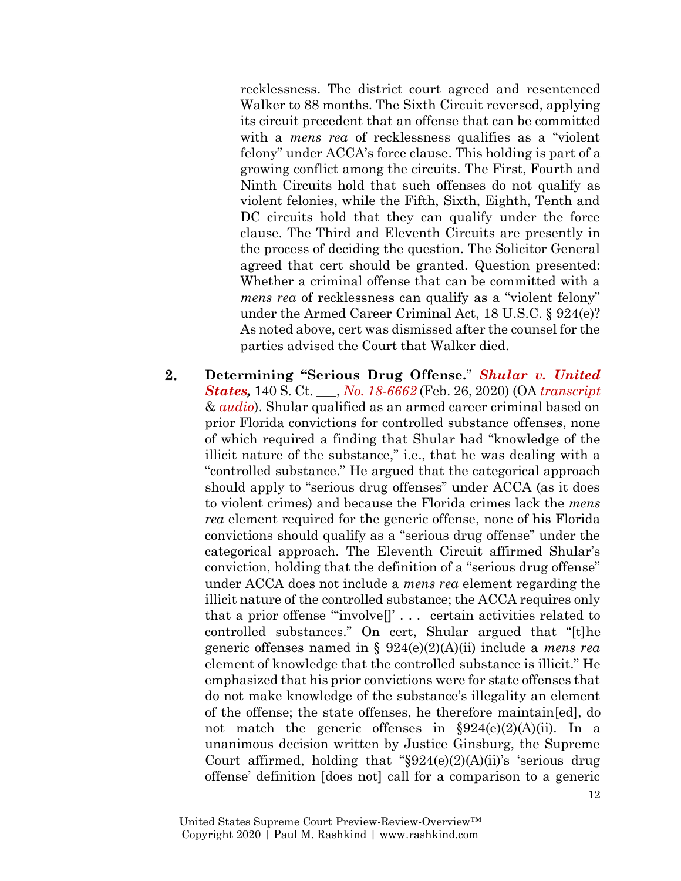recklessness. The district court agreed and resentenced Walker to 88 months. The Sixth Circuit reversed, applying its circuit precedent that an offense that can be committed with a *mens rea* of recklessness qualifies as a "violent felony" under ACCA's force clause. This holding is part of a growing conflict among the circuits. The First, Fourth and Ninth Circuits hold that such offenses do not qualify as violent felonies, while the Fifth, Sixth, Eighth, Tenth and DC circuits hold that they can qualify under the force clause. The Third and Eleventh Circuits are presently in the process of deciding the question. The Solicitor General agreed that cert should be granted. Question presented: Whether a criminal offense that can be committed with a *mens rea* of recklessness can qualify as a "violent felony" under the Armed Career Criminal Act, 18 U.S.C. § 924(e)? As noted above, cert was dismissed after the counsel for the parties advised the Court that Walker died.

 $2.$ **Determining "Serious Drug Offense.**" *[Shular v. United](https://www.supremecourt.gov/opinions/19pdf/18-6662_c0ne.pdf)  [States,](https://www.supremecourt.gov/opinions/19pdf/18-6662_c0ne.pdf)* 140 S. Ct. \_\_\_, *[No. 18-6662](https://www.supremecourt.gov/search.aspx?filename=/docket/docketfiles/html/public/18-6662.html)* (Feb. 26, 2020) (OA *[transcript](https://www.supremecourt.gov/oral_arguments/argument_transcripts/2019/18-6662_k536.pdf)* & *[audio](https://www.supremecourt.gov/oral_arguments/audio/2019/18-6662)*). Shular qualified as an armed career criminal based on prior Florida convictions for controlled substance offenses, none of which required a finding that Shular had "knowledge of the illicit nature of the substance," i.e., that he was dealing with a "controlled substance." He argued that the categorical approach should apply to "serious drug offenses" under ACCA (as it does to violent crimes) and because the Florida crimes lack the *mens rea* element required for the generic offense, none of his Florida convictions should qualify as a "serious drug offense" under the categorical approach. The Eleventh Circuit affirmed Shular's conviction, holding that the definition of a "serious drug offense" under ACCA does not include a *mens rea* element regarding the illicit nature of the controlled substance; the ACCA requires only that a prior offense "'involve[]' . . . certain activities related to controlled substances." On cert, Shular argued that "[t]he generic offenses named in § 924(e)(2)(A)(ii) include a *mens rea* element of knowledge that the controlled substance is illicit." He emphasized that his prior convictions were for state offenses that do not make knowledge of the substance's illegality an element of the offense; the state offenses, he therefore maintain[ed], do not match the generic offenses in  $\S 924(e)(2)(A)(ii)$ . In a unanimous decision written by Justice Ginsburg, the Supreme Court affirmed, holding that " $\S 924(e)(2)(A)(ii)$ " s 'serious drug offense' definition [does not] call for a comparison to a generic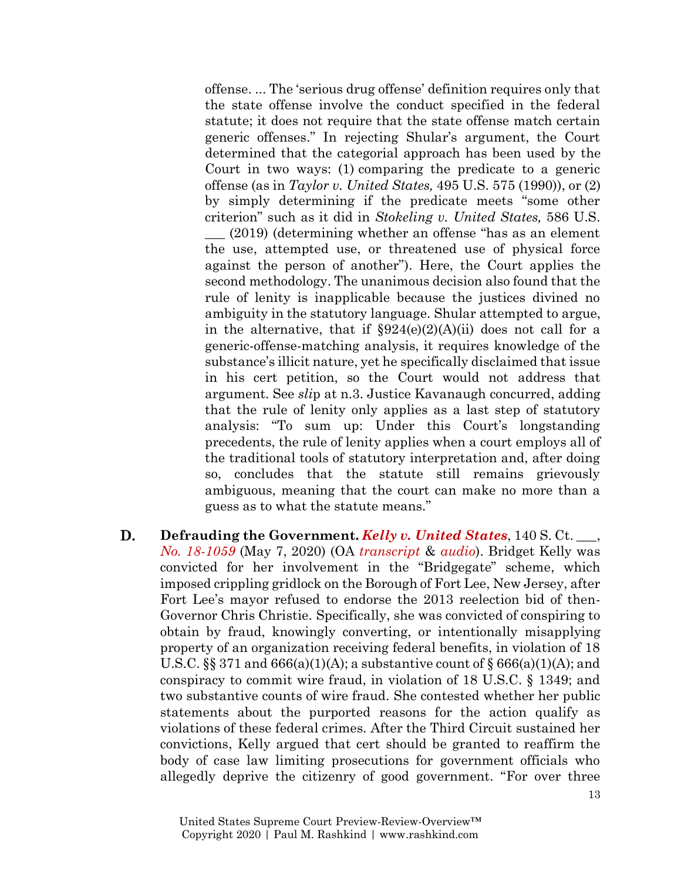offense. ... The 'serious drug offense' definition requires only that the state offense involve the conduct specified in the federal statute; it does not require that the state offense match certain generic offenses." In rejecting Shular's argument, the Court determined that the categorial approach has been used by the Court in two ways: (1) comparing the predicate to a generic offense (as in *Taylor v. United States,* 495 U.S. 575 (1990)), or (2) by simply determining if the predicate meets "some other criterion" such as it did in *Stokeling v. United States,* 586 U.S.

\_\_\_ (2019) (determining whether an offense "has as an element the use, attempted use, or threatened use of physical force against the person of another"). Here, the Court applies the second methodology. The unanimous decision also found that the rule of lenity is inapplicable because the justices divined no ambiguity in the statutory language. Shular attempted to argue, in the alternative, that if  $\S 924(e)(2)(A)(ii)$  does not call for a generic-offense-matching analysis, it requires knowledge of the substance's illicit nature, yet he specifically disclaimed that issue in his cert petition, so the Court would not address that argument. See *sli*p at n.3. Justice Kavanaugh concurred, adding that the rule of lenity only applies as a last step of statutory analysis: "To sum up: Under this Court's longstanding precedents, the rule of lenity applies when a court employs all of the traditional tools of statutory interpretation and, after doing so, concludes that the statute still remains grievously ambiguous, meaning that the court can make no more than a guess as to what the statute means."

D. **Defrauding the Government.** *[Kelly v. United States](https://www.supremecourt.gov/opinions/19pdf/18-1059_e2p3.pdf)*, 140 S. Ct. \_\_\_, *[No. 18-1059](https://www.supremecourt.gov/search.aspx?filename=/docket/docketfiles/html/public/18-1059.html)* (May 7, 2020) (OA *[transcript](https://www.supremecourt.gov/oral_arguments/argument_transcripts/2019/18-1059_6jfm.pdf)* & *[audio](https://www.supremecourt.gov/oral_arguments/audio/2019/18-1059)*). Bridget Kelly was convicted for her involvement in the "Bridgegate" scheme, which imposed crippling gridlock on the Borough of Fort Lee, New Jersey, after Fort Lee's mayor refused to endorse the 2013 reelection bid of then-Governor Chris Christie. Specifically, she was convicted of conspiring to obtain by fraud, knowingly converting, or intentionally misapplying property of an organization receiving federal benefits, in violation of 18 U.S.C.  $\S$  371 and 666(a)(1)(A); a substantive count of  $\S$  666(a)(1)(A); and conspiracy to commit wire fraud, in violation of 18 U.S.C. § 1349; and two substantive counts of wire fraud. She contested whether her public statements about the purported reasons for the action qualify as violations of these federal crimes. After the Third Circuit sustained her convictions, Kelly argued that cert should be granted to reaffirm the body of case law limiting prosecutions for government officials who allegedly deprive the citizenry of good government. "For over three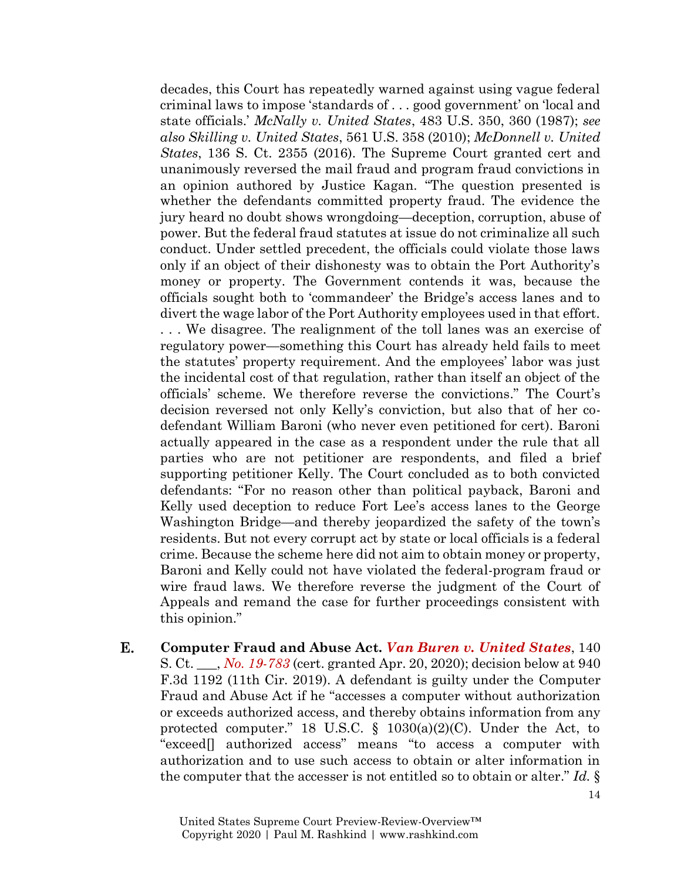decades, this Court has repeatedly warned against using vague federal criminal laws to impose 'standards of . . . good government' on 'local and state officials.' *McNally v. United States*, 483 U.S. 350, 360 (1987); *see also Skilling v. United States*, 561 U.S. 358 (2010); *McDonnell v. United States*, 136 S. Ct. 2355 (2016). The Supreme Court granted cert and unanimously reversed the mail fraud and program fraud convictions in an opinion authored by Justice Kagan. "The question presented is whether the defendants committed property fraud. The evidence the jury heard no doubt shows wrongdoing—deception, corruption, abuse of power. But the federal fraud statutes at issue do not criminalize all such conduct. Under settled precedent, the officials could violate those laws only if an object of their dishonesty was to obtain the Port Authority's money or property. The Government contends it was, because the officials sought both to 'commandeer' the Bridge's access lanes and to divert the wage labor of the Port Authority employees used in that effort. . . . We disagree. The realignment of the toll lanes was an exercise of regulatory power—something this Court has already held fails to meet the statutes' property requirement. And the employees' labor was just the incidental cost of that regulation, rather than itself an object of the officials' scheme. We therefore reverse the convictions." The Court's decision reversed not only Kelly's conviction, but also that of her codefendant William Baroni (who never even petitioned for cert). Baroni actually appeared in the case as a respondent under the rule that all parties who are not petitioner are respondents, and filed a brief supporting petitioner Kelly. The Court concluded as to both convicted defendants: "For no reason other than political payback, Baroni and Kelly used deception to reduce Fort Lee's access lanes to the George Washington Bridge—and thereby jeopardized the safety of the town's residents. But not every corrupt act by state or local officials is a federal crime. Because the scheme here did not aim to obtain money or property, Baroni and Kelly could not have violated the federal-program fraud or wire fraud laws. We therefore reverse the judgment of the Court of Appeals and remand the case for further proceedings consistent with this opinion."

Е. **Computer Fraud and Abuse Act.** *[Van Buren v. United States](https://www.supremecourt.gov/search.aspx?filename=/docket/docketfiles/html/public/19-783.html)*, 140 S. Ct. \_\_\_, *[No. 19-783](https://www.supremecourt.gov/search.aspx?filename=/docket/docketfiles/html/public/19-783.html)* (cert. granted Apr. 20, 2020); decision below at 940 F.3d 1192 (11th Cir. 2019). A defendant is guilty under the Computer Fraud and Abuse Act if he "accesses a computer without authorization or exceeds authorized access, and thereby obtains information from any protected computer." 18 U.S.C. § 1030(a)(2)(C). Under the Act, to "exceed[] authorized access" means "to access a computer with authorization and to use such access to obtain or alter information in the computer that the accesser is not entitled so to obtain or alter." *Id.* §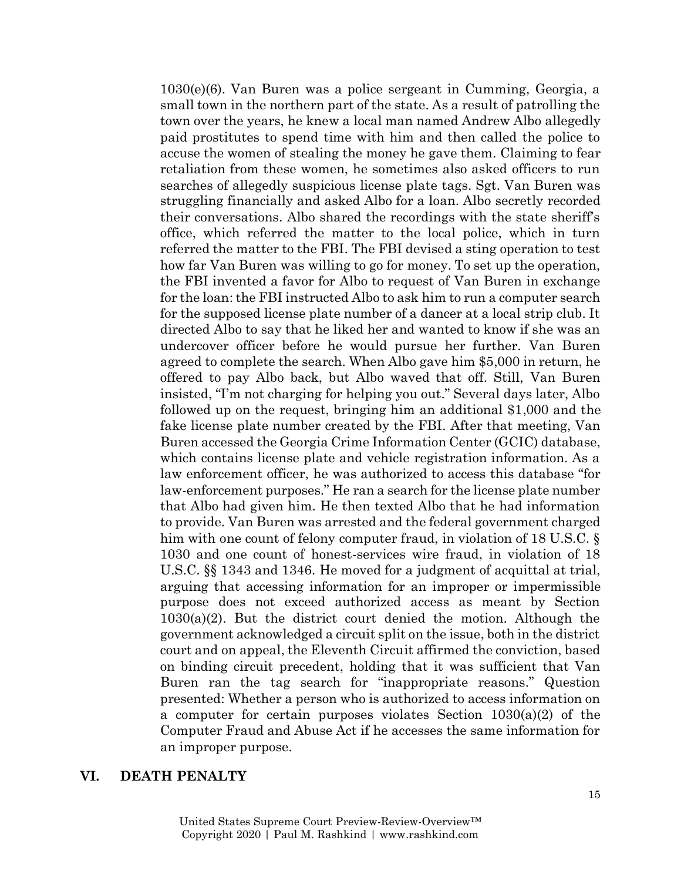1030(e)(6). Van Buren was a police sergeant in Cumming, Georgia, a small town in the northern part of the state. As a result of patrolling the town over the years, he knew a local man named Andrew Albo allegedly paid prostitutes to spend time with him and then called the police to accuse the women of stealing the money he gave them. Claiming to fear retaliation from these women, he sometimes also asked officers to run searches of allegedly suspicious license plate tags. Sgt. Van Buren was struggling financially and asked Albo for a loan. Albo secretly recorded their conversations. Albo shared the recordings with the state sheriff's office, which referred the matter to the local police, which in turn referred the matter to the FBI. The FBI devised a sting operation to test how far Van Buren was willing to go for money. To set up the operation, the FBI invented a favor for Albo to request of Van Buren in exchange for the loan: the FBI instructed Albo to ask him to run a computer search for the supposed license plate number of a dancer at a local strip club. It directed Albo to say that he liked her and wanted to know if she was an undercover officer before he would pursue her further. Van Buren agreed to complete the search. When Albo gave him \$5,000 in return, he offered to pay Albo back, but Albo waved that off. Still, Van Buren insisted, "I'm not charging for helping you out." Several days later, Albo followed up on the request, bringing him an additional \$1,000 and the fake license plate number created by the FBI. After that meeting, Van Buren accessed the Georgia Crime Information Center (GCIC) database, which contains license plate and vehicle registration information. As a law enforcement officer, he was authorized to access this database "for law-enforcement purposes." He ran a search for the license plate number that Albo had given him. He then texted Albo that he had information to provide. Van Buren was arrested and the federal government charged him with one count of felony computer fraud, in violation of 18 U.S.C. § 1030 and one count of honest-services wire fraud, in violation of 18 U.S.C. §§ 1343 and 1346. He moved for a judgment of acquittal at trial, arguing that accessing information for an improper or impermissible purpose does not exceed authorized access as meant by Section  $1030(a)(2)$ . But the district court denied the motion. Although the government acknowledged a circuit split on the issue, both in the district court and on appeal, the Eleventh Circuit affirmed the conviction, based on binding circuit precedent, holding that it was sufficient that Van Buren ran the tag search for "inappropriate reasons." Question presented: Whether a person who is authorized to access information on a computer for certain purposes violates Section 1030(a)(2) of the Computer Fraud and Abuse Act if he accesses the same information for an improper purpose.

### **VI. DEATH PENALTY**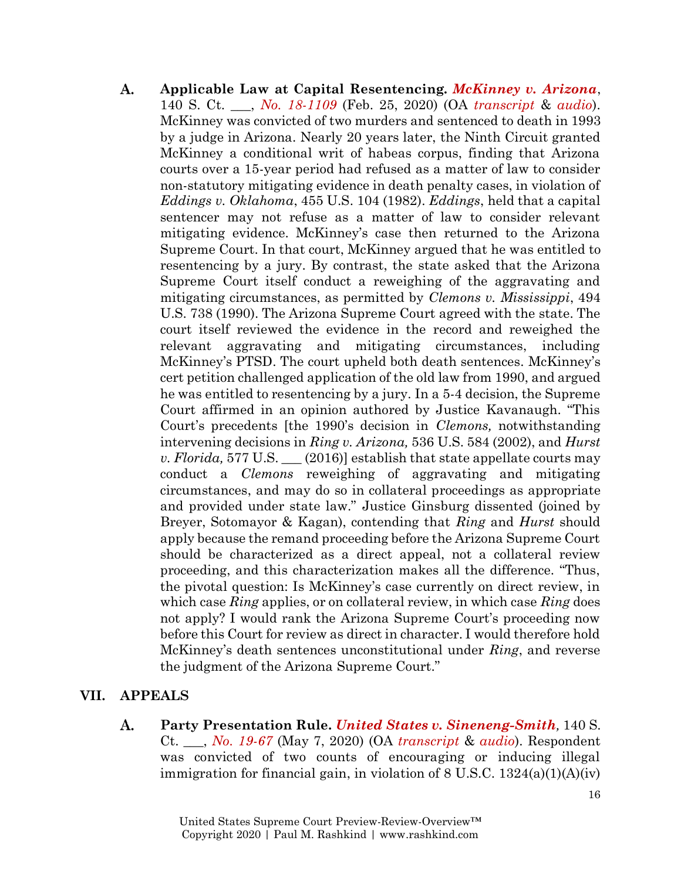**Applicable Law at Capital Resentencing.** *[McKinney v. Arizona](https://www.supremecourt.gov/opinions/19pdf/18-1109_5i36.pdf)*, A. 140 S. Ct. \_\_\_, *[No. 18-1109](https://www.supremecourt.gov/search.aspx?filename=/docket/docketfiles/html/public/18-1109.html)* (Feb. 25, 2020) (OA *[transcript](https://www.supremecourt.gov/oral_arguments/argument_transcripts/2019/18-1109_2dp3.pdf)* & *[audio](https://www.supremecourt.gov/oral_arguments/audio/2019/18-1109)*). McKinney was convicted of two murders and sentenced to death in 1993 by a judge in Arizona. Nearly 20 years later, the Ninth Circuit granted McKinney a conditional writ of habeas corpus, finding that Arizona courts over a 15-year period had refused as a matter of law to consider non-statutory mitigating evidence in death penalty cases, in violation of *Eddings v. Oklahoma*, 455 U.S. 104 (1982). *Eddings*, held that a capital sentencer may not refuse as a matter of law to consider relevant mitigating evidence. McKinney's case then returned to the Arizona Supreme Court. In that court, McKinney argued that he was entitled to resentencing by a jury. By contrast, the state asked that the Arizona Supreme Court itself conduct a reweighing of the aggravating and mitigating circumstances, as permitted by *Clemons v. Mississippi*, 494 U.S. 738 (1990). The Arizona Supreme Court agreed with the state. The court itself reviewed the evidence in the record and reweighed the relevant aggravating and mitigating circumstances, including McKinney's PTSD. The court upheld both death sentences. McKinney's cert petition challenged application of the old law from 1990, and argued he was entitled to resentencing by a jury. In a 5-4 decision, the Supreme Court affirmed in an opinion authored by Justice Kavanaugh. "This Court's precedents [the 1990's decision in *Clemons,* notwithstanding intervening decisions in *Ring v. Arizona,* 536 U.S. 584 (2002), and *Hurst v. Florida,* 577 U.S. \_\_\_ (2016)] establish that state appellate courts may conduct a *Clemons* reweighing of aggravating and mitigating circumstances, and may do so in collateral proceedings as appropriate and provided under state law." Justice Ginsburg dissented (joined by Breyer, Sotomayor & Kagan), contending that *Ring* and *Hurst* should apply because the remand proceeding before the Arizona Supreme Court should be characterized as a direct appeal, not a collateral review proceeding, and this characterization makes all the difference. "Thus, the pivotal question: Is McKinney's case currently on direct review, in which case *Ring* applies, or on collateral review, in which case *Ring* does not apply? I would rank the Arizona Supreme Court's proceeding now before this Court for review as direct in character. I would therefore hold McKinney's death sentences unconstitutional under *Ring*, and reverse the judgment of the Arizona Supreme Court."

# **VII. APPEALS**

A. **Party Presentation Rule.** *[United States v. Sineneng-Smith](https://www.supremecourt.gov/search.aspx?filename=/docket/docketfiles/html/public/19-67.html),* 140 S. Ct. \_\_\_, *[No. 19-67](https://www.supremecourt.gov/search.aspx?filename=/docket/docketfiles/html/public/19-67.html)* (May 7, 2020) (OA *[transcript](https://www.supremecourt.gov/oral_arguments/argument_transcripts/2019/19-67_e1p3.pdf)* & *[audio](https://www.supremecourt.gov/oral_arguments/audio/2019/19-67)*). Respondent was convicted of two counts of encouraging or inducing illegal immigration for financial gain, in violation of  $8 \text{ U.S.C. } 1324(a)(1)(A)(iv)$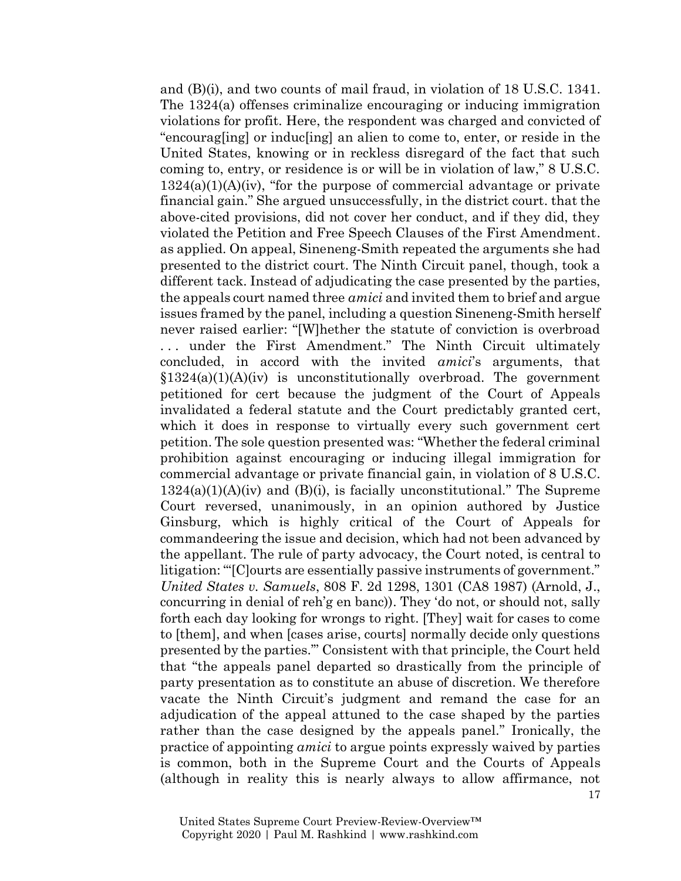and (B)(i), and two counts of mail fraud, in violation of 18 U.S.C. 1341. The 1324(a) offenses criminalize encouraging or inducing immigration violations for profit. Here, the respondent was charged and convicted of "encourag[ing] or induc[ing] an alien to come to, enter, or reside in the United States, knowing or in reckless disregard of the fact that such coming to, entry, or residence is or will be in violation of law," 8 U.S.C.  $1324(a)(1)(A)(iv)$ , "for the purpose of commercial advantage or private financial gain." She argued unsuccessfully, in the district court. that the above-cited provisions, did not cover her conduct, and if they did, they violated the Petition and Free Speech Clauses of the First Amendment. as applied. On appeal, Sineneng-Smith repeated the arguments she had presented to the district court. The Ninth Circuit panel, though, took a different tack. Instead of adjudicating the case presented by the parties, the appeals court named three *amici* and invited them to brief and argue issues framed by the panel, including a question Sineneng-Smith herself never raised earlier: "[W]hether the statute of conviction is overbroad ... under the First Amendment." The Ninth Circuit ultimately concluded, in accord with the invited *amici*'s arguments, that  $$1324(a)(1)(A)(iv)$  is unconstitutionally overbroad. The government petitioned for cert because the judgment of the Court of Appeals invalidated a federal statute and the Court predictably granted cert, which it does in response to virtually every such government cert petition. The sole question presented was: "Whether the federal criminal prohibition against encouraging or inducing illegal immigration for commercial advantage or private financial gain, in violation of 8 U.S.C.  $1324(a)(1)(A)(iv)$  and  $(B)(i)$ , is facially unconstitutional." The Supreme Court reversed, unanimously, in an opinion authored by Justice Ginsburg, which is highly critical of the Court of Appeals for commandeering the issue and decision, which had not been advanced by the appellant. The rule of party advocacy, the Court noted, is central to litigation: '"[C]ourts are essentially passive instruments of government." *United States v. Samuels*, 808 F. 2d 1298, 1301 (CA8 1987) (Arnold, J., concurring in denial of reh'g en banc)). They 'do not, or should not, sally forth each day looking for wrongs to right. [They] wait for cases to come to [them], and when [cases arise, courts] normally decide only questions presented by the parties.'" Consistent with that principle, the Court held that "the appeals panel departed so drastically from the principle of party presentation as to constitute an abuse of discretion. We therefore vacate the Ninth Circuit's judgment and remand the case for an adjudication of the appeal attuned to the case shaped by the parties rather than the case designed by the appeals panel." Ironically, the practice of appointing *amici* to argue points expressly waived by parties is common, both in the Supreme Court and the Courts of Appeals (although in reality this is nearly always to allow affirmance, not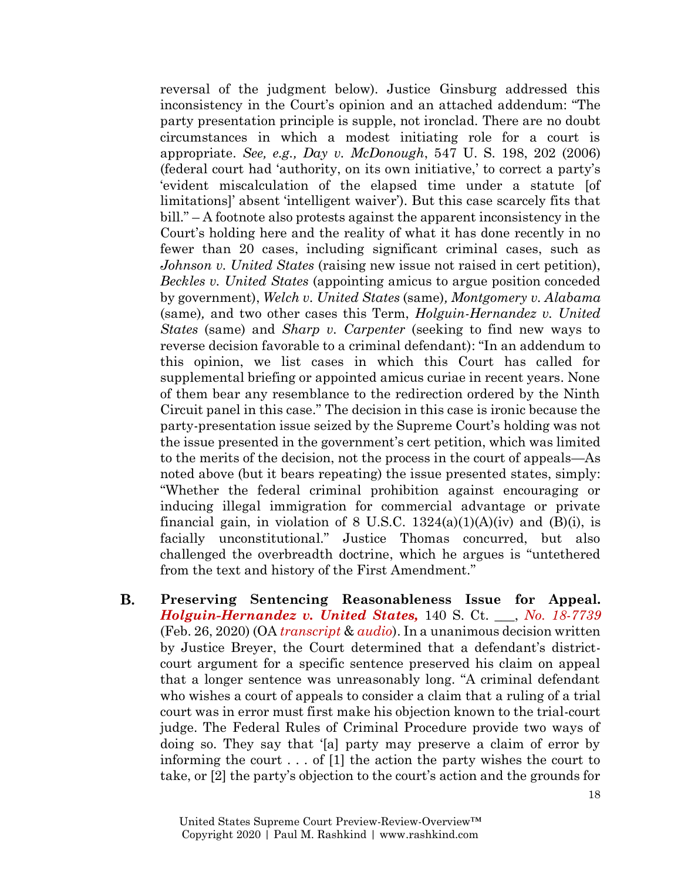reversal of the judgment below). Justice Ginsburg addressed this inconsistency in the Court's opinion and an attached addendum: "The party presentation principle is supple, not ironclad. There are no doubt circumstances in which a modest initiating role for a court is appropriate. *See, e.g., Day v. McDonough*, 547 U. S. 198, 202 (2006) (federal court had 'authority, on its own initiative,' to correct a party's 'evident miscalculation of the elapsed time under a statute [of limitations]' absent 'intelligent waiver'). But this case scarcely fits that bill." – A footnote also protests against the apparent inconsistency in the Court's holding here and the reality of what it has done recently in no fewer than 20 cases, including significant criminal cases, such as *Johnson v. United States* (raising new issue not raised in cert petition), *Beckles v. United States* (appointing amicus to argue position conceded by government), *Welch v. United States* (same)*, Montgomery v. Alabama*  (same)*,* and two other cases this Term, *Holguin-Hernandez v. United States* (same) and *Sharp v. Carpenter* (seeking to find new ways to reverse decision favorable to a criminal defendant): "In an addendum to this opinion, we list cases in which this Court has called for supplemental briefing or appointed amicus curiae in recent years. None of them bear any resemblance to the redirection ordered by the Ninth Circuit panel in this case." The decision in this case is ironic because the party-presentation issue seized by the Supreme Court's holding was not the issue presented in the government's cert petition, which was limited to the merits of the decision, not the process in the court of appeals—As noted above (but it bears repeating) the issue presented states, simply: "Whether the federal criminal prohibition against encouraging or inducing illegal immigration for commercial advantage or private financial gain, in violation of 8 U.S.C.  $1324(a)(1)(A)(iv)$  and  $(B)(i)$ , is facially unconstitutional." Justice Thomas concurred, but also challenged the overbreadth doctrine, which he argues is "untethered from the text and history of the First Amendment."

**B. Preserving Sentencing Reasonableness Issue for Appeal.** *[Holguin-Hernandez v. United States,](https://www.supremecourt.gov/opinions/19pdf/18-7739_9q7h.pdf)* 140 S. Ct. \_\_\_, *[No. 18-7739](https://www.supremecourt.gov/search.aspx?filename=/docket/docketfiles/html/public/18-7739.html)* (Feb. 26, 2020) (OA *[transcript](https://www.supremecourt.gov/oral_arguments/argument_transcripts/2019/18-7739_if5n.pdf)* & *[audio](https://www.supremecourt.gov/oral_arguments/audio/2019/18-7739)*). In a unanimous decision written by Justice Breyer, the Court determined that a defendant's districtcourt argument for a specific sentence preserved his claim on appeal that a longer sentence was unreasonably long. "A criminal defendant who wishes a court of appeals to consider a claim that a ruling of a trial court was in error must first make his objection known to the trial-court judge. The Federal Rules of Criminal Procedure provide two ways of doing so. They say that '[a] party may preserve a claim of error by informing the court . . . of [1] the action the party wishes the court to take, or [2] the party's objection to the court's action and the grounds for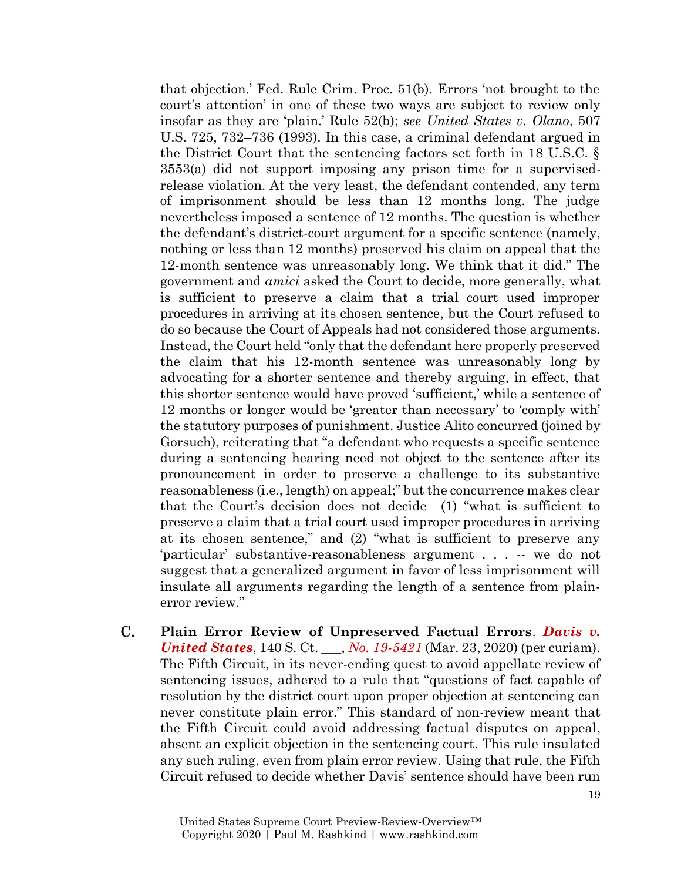that objection.' Fed. Rule Crim. Proc. 51(b). Errors 'not brought to the court's attention' in one of these two ways are subject to review only insofar as they are 'plain.' Rule 52(b); *see United States v. Olano*, 507 U.S. 725, 732–736 (1993). In this case, a criminal defendant argued in the District Court that the sentencing factors set forth in 18 U.S.C. § 3553(a) did not support imposing any prison time for a supervisedrelease violation. At the very least, the defendant contended, any term of imprisonment should be less than 12 months long. The judge nevertheless imposed a sentence of 12 months. The question is whether the defendant's district-court argument for a specific sentence (namely, nothing or less than 12 months) preserved his claim on appeal that the 12-month sentence was unreasonably long. We think that it did." The government and *amici* asked the Court to decide, more generally, what is sufficient to preserve a claim that a trial court used improper procedures in arriving at its chosen sentence, but the Court refused to do so because the Court of Appeals had not considered those arguments. Instead, the Court held "only that the defendant here properly preserved the claim that his 12-month sentence was unreasonably long by advocating for a shorter sentence and thereby arguing, in effect, that this shorter sentence would have proved 'sufficient,' while a sentence of 12 months or longer would be 'greater than necessary' to 'comply with' the statutory purposes of punishment. Justice Alito concurred (joined by Gorsuch), reiterating that "a defendant who requests a specific sentence during a sentencing hearing need not object to the sentence after its pronouncement in order to preserve a challenge to its substantive reasonableness (i.e., length) on appeal;" but the concurrence makes clear that the Court's decision does not decide (1) "what is sufficient to preserve a claim that a trial court used improper procedures in arriving at its chosen sentence," and (2) "what is sufficient to preserve any 'particular' substantive-reasonableness argument . . . -- we do not suggest that a generalized argument in favor of less imprisonment will insulate all arguments regarding the length of a sentence from plainerror review."

 $\mathbf{C}$ . **Plain Error Review of Unpreserved Factual Errors**. *[Davis v.](https://www.supremecourt.gov/opinions/19pdf/19-5421_o7jq.pdf)  [United States](https://www.supremecourt.gov/opinions/19pdf/19-5421_o7jq.pdf)*, 140 S. Ct. \_\_\_, *[No. 19-5421](https://www.supremecourt.gov/docket/docketfiles/html/public/19-5421.html)* (Mar. 23, 2020) (per curiam). The Fifth Circuit, in its never-ending quest to avoid appellate review of sentencing issues, adhered to a rule that "questions of fact capable of resolution by the district court upon proper objection at sentencing can never constitute plain error." This standard of non-review meant that the Fifth Circuit could avoid addressing factual disputes on appeal, absent an explicit objection in the sentencing court. This rule insulated any such ruling, even from plain error review. Using that rule, the Fifth Circuit refused to decide whether Davis' sentence should have been run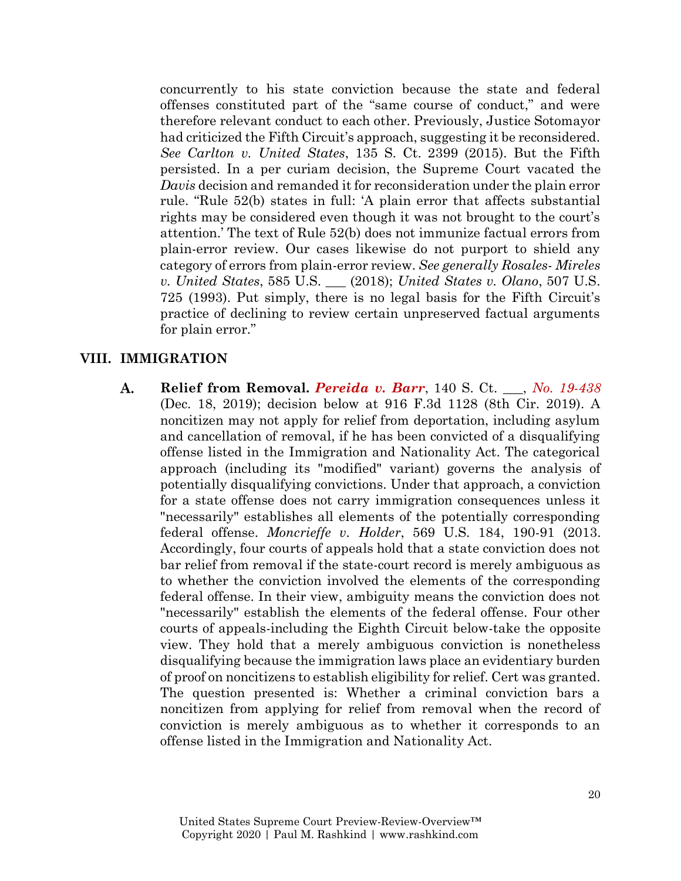concurrently to his state conviction because the state and federal offenses constituted part of the "same course of conduct," and were therefore relevant conduct to each other. Previously, Justice Sotomayor had criticized the Fifth Circuit's approach, suggesting it be reconsidered. *See Carlton v. United States*, 135 S. Ct. 2399 (2015). But the Fifth persisted. In a per curiam decision, the Supreme Court vacated the *Davis* decision and remanded it for reconsideration under the plain error rule. "Rule 52(b) states in full: 'A plain error that affects substantial rights may be considered even though it was not brought to the court's attention.' The text of Rule 52(b) does not immunize factual errors from plain-error review. Our cases likewise do not purport to shield any category of errors from plain-error review. *See generally Rosales- Mireles v. United States*, 585 U.S. \_\_\_ (2018); *United States v. Olano*, 507 U.S. 725 (1993). Put simply, there is no legal basis for the Fifth Circuit's practice of declining to review certain unpreserved factual arguments for plain error."

# **VIII. IMMIGRATION**

**Relief from Removal.** *[Pereida v. Barr](https://www.supremecourt.gov/search.aspx?filename=/docket/docketfiles/html/public/19-438.html)*, 140 S. Ct. \_\_\_, *[No. 19-438](https://www.supremecourt.gov/search.aspx?filename=/docket/docketfiles/html/public/19-438.html)* A. (Dec. 18, 2019); decision below at 916 F.3d 1128 (8th Cir. 2019). A noncitizen may not apply for relief from deportation, including asylum and cancellation of removal, if he has been convicted of a disqualifying offense listed in the Immigration and Nationality Act. The categorical approach (including its "modified" variant) governs the analysis of potentially disqualifying convictions. Under that approach, a conviction for a state offense does not carry immigration consequences unless it "necessarily" establishes all elements of the potentially corresponding federal offense. *Moncrieffe v. Holder*, 569 U.S. 184, 190-91 (2013. Accordingly, four courts of appeals hold that a state conviction does not bar relief from removal if the state-court record is merely ambiguous as to whether the conviction involved the elements of the corresponding federal offense. In their view, ambiguity means the conviction does not "necessarily" establish the elements of the federal offense. Four other courts of appeals-including the Eighth Circuit below-take the opposite view. They hold that a merely ambiguous conviction is nonetheless disqualifying because the immigration laws place an evidentiary burden of proof on noncitizens to establish eligibility for relief. Cert was granted. The question presented is: Whether a criminal conviction bars a noncitizen from applying for relief from removal when the record of conviction is merely ambiguous as to whether it corresponds to an offense listed in the Immigration and Nationality Act.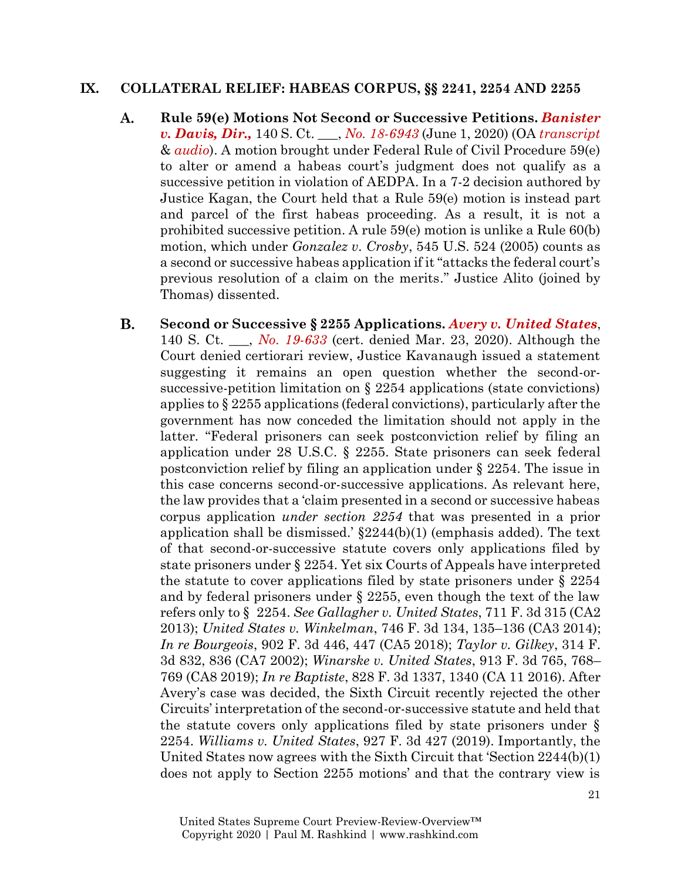#### **IX. COLLATERAL RELIEF: HABEAS CORPUS, §§ 2241, 2254 AND 2255**

- A. **Rule 59(e) Motions Not Second or Successive Petitions.** *[Banister](https://www.supremecourt.gov/opinions/19pdf/18-6943_k5fm.pdf)  [v. Davis, Dir.,](https://www.supremecourt.gov/opinions/19pdf/18-6943_k5fm.pdf)* 140 S. Ct. \_\_\_, *[No. 18-6943](https://www.supremecourt.gov/search.aspx?filename=/docket/docketfiles/html/public/18-6943.html)* (June 1, 2020) (OA *[transcript](https://www.supremecourt.gov/oral_arguments/argument_transcripts/2019/18-6943_bq7c.pdf)* & *[audio](https://www.supremecourt.gov/oral_arguments/audio/2019/18-6943)*). A motion brought under Federal Rule of Civil Procedure 59(e) to alter or amend a habeas court's judgment does not qualify as a successive petition in violation of AEDPA. In a 7-2 decision authored by Justice Kagan, the Court held that a Rule 59(e) motion is instead part and parcel of the first habeas proceeding. As a result, it is not a prohibited successive petition. A rule 59(e) motion is unlike a Rule 60(b) motion, which under *Gonzalez v. Crosby*, 545 U.S. 524 (2005) counts as a second or successive habeas application if it "attacks the federal court's previous resolution of a claim on the merits." Justice Alito (joined by Thomas) dissented.
- **B. Second or Successive § 2255 Applications.** *[Avery v. United States](https://www.supremecourt.gov/opinions/19pdf/19-633_5if6.pdf)*, 140 S. Ct. \_\_\_, *[No. 19-633](https://www.supremecourt.gov/search.aspx?filename=/docket/docketfiles/html/public/19-633.html)* (cert. denied Mar. 23, 2020). Although the Court denied certiorari review, Justice Kavanaugh issued a statement suggesting it remains an open question whether the second-orsuccessive-petition limitation on § 2254 applications (state convictions) applies to  $\S 2255$  applications (federal convictions), particularly after the government has now conceded the limitation should not apply in the latter. "Federal prisoners can seek postconviction relief by filing an application under 28 U.S.C. § 2255. State prisoners can seek federal postconviction relief by filing an application under § 2254. The issue in this case concerns second-or-successive applications. As relevant here, the law provides that a 'claim presented in a second or successive habeas corpus application *under section 2254* that was presented in a prior application shall be dismissed.'  $\S2244(b)(1)$  (emphasis added). The text of that second-or-successive statute covers only applications filed by state prisoners under § 2254. Yet six Courts of Appeals have interpreted the statute to cover applications filed by state prisoners under § 2254 and by federal prisoners under  $\S 2255$ , even though the text of the law refers only to § 2254. *See Gallagher v. United States*, 711 F. 3d 315 (CA2 2013); *United States v. Winkelman*, 746 F. 3d 134, 135–136 (CA3 2014); *In re Bourgeois*, 902 F. 3d 446, 447 (CA5 2018); *Taylor v. Gilkey*, 314 F. 3d 832, 836 (CA7 2002); *Winarske v. United States*, 913 F. 3d 765, 768– 769 (CA8 2019); *In re Baptiste*, 828 F. 3d 1337, 1340 (CA 11 2016). After Avery's case was decided, the Sixth Circuit recently rejected the other Circuits' interpretation of the second-or-successive statute and held that the statute covers only applications filed by state prisoners under § 2254. *Williams v. United States*, 927 F. 3d 427 (2019). Importantly, the United States now agrees with the Sixth Circuit that 'Section 2244(b)(1) does not apply to Section 2255 motions' and that the contrary view is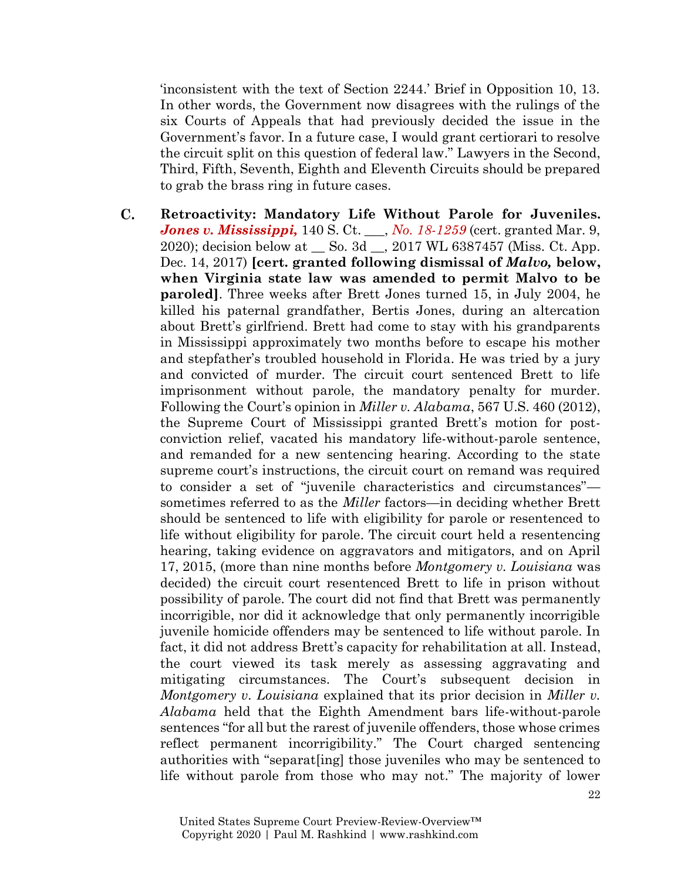'inconsistent with the text of Section 2244.' Brief in Opposition 10, 13. In other words, the Government now disagrees with the rulings of the six Courts of Appeals that had previously decided the issue in the Government's favor. In a future case, I would grant certiorari to resolve the circuit split on this question of federal law." Lawyers in the Second, Third, Fifth, Seventh, Eighth and Eleventh Circuits should be prepared to grab the brass ring in future cases.

 $\mathbf{C}$ . **Retroactivity: Mandatory Life Without Parole for Juveniles.**  *[Jones v. Mississippi,](https://www.supremecourt.gov/search.aspx?filename=/docket/docketfiles/html/public/18-1259.html)* 140 S. Ct. \_\_\_, *[No. 18-1259](https://www.supremecourt.gov/search.aspx?filename=/docket/docketfiles/html/public/18-1259.html)* (cert. granted Mar. 9, 2020); decision below at \_\_ So. 3d \_\_, 2017 WL 6387457 (Miss. Ct. App. Dec. 14, 2017) **[cert. granted following dismissal of** *Malvo,* **below, when Virginia state law was amended to permit Malvo to be paroled]**. Three weeks after Brett Jones turned 15, in July 2004, he killed his paternal grandfather, Bertis Jones, during an altercation about Brett's girlfriend. Brett had come to stay with his grandparents in Mississippi approximately two months before to escape his mother and stepfather's troubled household in Florida. He was tried by a jury and convicted of murder. The circuit court sentenced Brett to life imprisonment without parole, the mandatory penalty for murder. Following the Court's opinion in *Miller v. Alabama*, 567 U.S. 460 (2012), the Supreme Court of Mississippi granted Brett's motion for postconviction relief, vacated his mandatory life-without-parole sentence, and remanded for a new sentencing hearing. According to the state supreme court's instructions, the circuit court on remand was required to consider a set of "juvenile characteristics and circumstances" sometimes referred to as the *Miller* factors—in deciding whether Brett should be sentenced to life with eligibility for parole or resentenced to life without eligibility for parole. The circuit court held a resentencing hearing, taking evidence on aggravators and mitigators, and on April 17, 2015, (more than nine months before *Montgomery v. Louisiana* was decided) the circuit court resentenced Brett to life in prison without possibility of parole. The court did not find that Brett was permanently incorrigible, nor did it acknowledge that only permanently incorrigible juvenile homicide offenders may be sentenced to life without parole. In fact, it did not address Brett's capacity for rehabilitation at all. Instead, the court viewed its task merely as assessing aggravating and mitigating circumstances. The Court's subsequent decision in *Montgomery v. Louisiana* explained that its prior decision in *Miller v. Alabama* held that the Eighth Amendment bars life-without-parole sentences "for all but the rarest of juvenile offenders, those whose crimes reflect permanent incorrigibility." The Court charged sentencing authorities with "separat[ing] those juveniles who may be sentenced to life without parole from those who may not." The majority of lower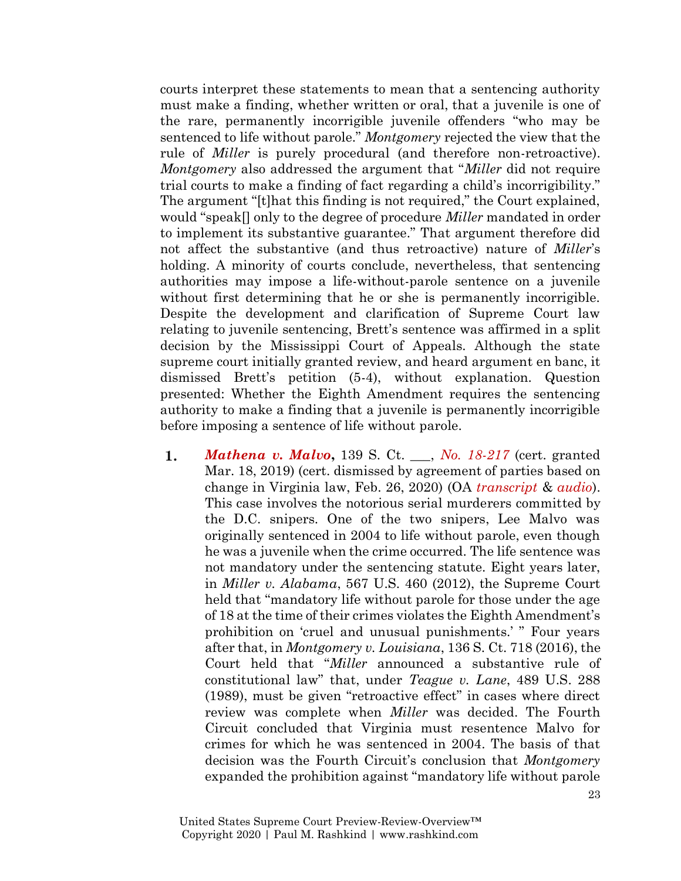courts interpret these statements to mean that a sentencing authority must make a finding, whether written or oral, that a juvenile is one of the rare, permanently incorrigible juvenile offenders "who may be sentenced to life without parole." *Montgomery* rejected the view that the rule of *Miller* is purely procedural (and therefore non-retroactive). *Montgomery* also addressed the argument that "*Miller* did not require trial courts to make a finding of fact regarding a child's incorrigibility." The argument "[t]hat this finding is not required," the Court explained, would "speak[] only to the degree of procedure *Miller* mandated in order to implement its substantive guarantee." That argument therefore did not affect the substantive (and thus retroactive) nature of *Miller*'s holding. A minority of courts conclude, nevertheless, that sentencing authorities may impose a life-without-parole sentence on a juvenile without first determining that he or she is permanently incorrigible. Despite the development and clarification of Supreme Court law relating to juvenile sentencing, Brett's sentence was affirmed in a split decision by the Mississippi Court of Appeals. Although the state supreme court initially granted review, and heard argument en banc, it dismissed Brett's petition (5-4), without explanation. Question presented: Whether the Eighth Amendment requires the sentencing authority to make a finding that a juvenile is permanently incorrigible before imposing a sentence of life without parole.

*[Mathena v. Malvo](https://www.supremecourt.gov/search.aspx?filename=/docket/docketfiles/html/public/18-217.html)***,** 139 S. Ct. \_\_\_, *[No. 18-217](https://www.supremecourt.gov/search.aspx?filename=/docket/docketfiles/html/public/18-217.html)* (cert. granted 1. Mar. 18, 2019) (cert. dismissed by agreement of parties based on change in Virginia law, Feb. 26, 2020) (OA *[transcript](https://www.supremecourt.gov/oral_arguments/argument_transcripts/2019/18-217_k5fl.pdf)* & *[audio](https://www.supremecourt.gov/oral_arguments/audio/2019/18-217)*). This case involves the notorious serial murderers committed by the D.C. snipers. One of the two snipers, Lee Malvo was originally sentenced in 2004 to life without parole, even though he was a juvenile when the crime occurred. The life sentence was not mandatory under the sentencing statute. Eight years later, in *Miller v. Alabama*, 567 U.S. 460 (2012), the Supreme Court held that "mandatory life without parole for those under the age of 18 at the time of their crimes violates the Eighth Amendment's prohibition on 'cruel and unusual punishments.' " Four years after that, in *Montgomery v. Louisiana*, 136 S. Ct. 718 (2016), the Court held that "*Miller* announced a substantive rule of constitutional law" that, under *Teague v. Lane*, 489 U.S. 288 (1989), must be given "retroactive effect" in cases where direct review was complete when *Miller* was decided. The Fourth Circuit concluded that Virginia must resentence Malvo for crimes for which he was sentenced in 2004. The basis of that decision was the Fourth Circuit's conclusion that *Montgomery* expanded the prohibition against "mandatory life without parole